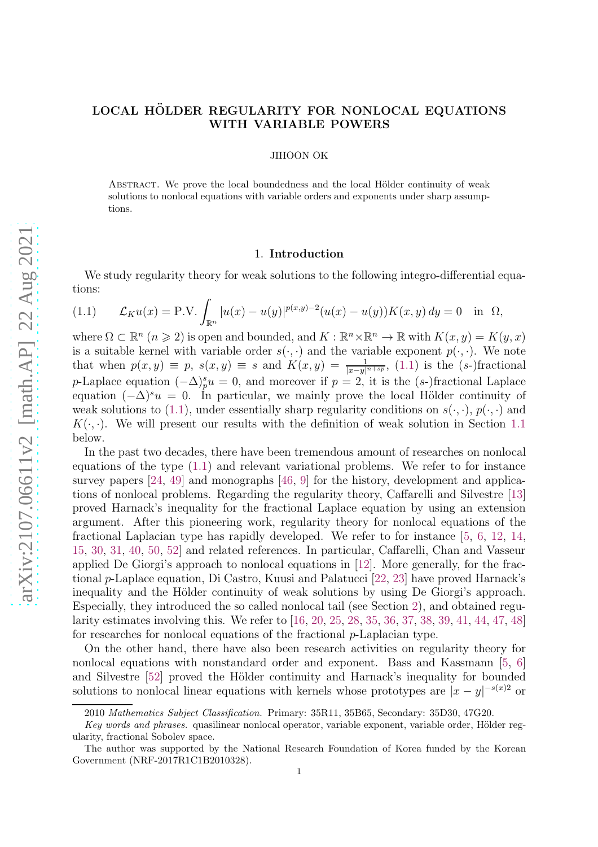# LOCAL HÖLDER REGULARITY FOR NONLOCAL EQUATIONS WITH VARIABLE POWERS

JIHOON OK

ABSTRACT. We prove the local boundedness and the local Hölder continuity of weak solutions to nonlocal equations with variable orders and exponents under sharp assumptions.

## 1. Introduction

We study regularity theory for weak solutions to the following integro-differential equations:

<span id="page-0-0"></span>(1.1) 
$$
\mathcal{L}_K u(x) = P.V. \int_{\mathbb{R}^n} |u(x) - u(y)|^{p(x,y)-2} (u(x) - u(y)) K(x,y) dy = 0 \text{ in } \Omega,
$$

where  $\Omega \subset \mathbb{R}^n$   $(n \geq 2)$  is open and bounded, and  $K : \mathbb{R}^n \times \mathbb{R}^n \to \mathbb{R}$  with  $K(x, y) = K(y, x)$ is a suitable kernel with variable order  $s(\cdot, \cdot)$  and the variable exponent  $p(\cdot, \cdot)$ . We note that when  $p(x, y) \equiv p$ ,  $s(x, y) \equiv s$  and  $K(x, y) = \frac{1}{|x-y|^{n+sp}}$ , [\(1.1\)](#page-0-0) is the (s-)fractional p-Laplace equation  $(-\Delta)^s_p u = 0$ , and moreover if  $p = 2$ , it is the  $(s)$ -fractional Laplace equation  $(-\Delta)^{s}u = 0$ . In particular, we mainly prove the local Hölder continuity of weak solutions to [\(1.1\)](#page-0-0), under essentially sharp regularity conditions on  $s(\cdot, \cdot)$ ,  $p(\cdot, \cdot)$  and  $K(\cdot, \cdot)$ . We will present our results with the definition of weak solution in Section [1.1](#page-2-0) below.

In the past two decades, there have been tremendous amount of researches on nonlocal equations of the type [\(1.1\)](#page-0-0) and relevant variational problems. We refer to for instance survey papers [\[24,](#page-26-0) [49\]](#page-27-0) and monographs [\[46,](#page-27-1) [9\]](#page-26-1) for the history, development and applications of nonlocal problems. Regarding the regularity theory, Caffarelli and Silvestre [\[13\]](#page-26-2) proved Harnack's inequality for the fractional Laplace equation by using an extension argument. After this pioneering work, regularity theory for nonlocal equations of the fractional Laplacian type has rapidly developed. We refer to for instance [\[5,](#page-26-3) [6,](#page-26-4) [12,](#page-26-5) [14,](#page-26-6) [15,](#page-26-7) [30,](#page-27-2) [31,](#page-27-3) [40,](#page-27-4) [50,](#page-27-5) [52\]](#page-27-6) and related references. In particular, Caffarelli, Chan and Vasseur applied De Giorgi's approach to nonlocal equations in [\[12\]](#page-26-5). More generally, for the fractional p-Laplace equation, Di Castro, Kuusi and Palatucci [\[22,](#page-26-8) [23\]](#page-26-9) have proved Harnack's inequality and the Hölder continuity of weak solutions by using De Giorgi's approach. Especially, they introduced the so called nonlocal tail (see Section [2\)](#page-3-0), and obtained regularity estimates involving this. We refer to [\[16,](#page-26-10) [20,](#page-26-11) [25,](#page-26-12) [28,](#page-27-7) [35,](#page-27-8) [36,](#page-27-9) [37,](#page-27-10) [38,](#page-27-11) [39,](#page-27-12) [41,](#page-27-13) [44,](#page-27-14) [47,](#page-27-15) [48\]](#page-27-16) for researches for nonlocal equations of the fractional  $p$ -Laplacian type.

On the other hand, there have also been research activities on regularity theory for nonlocal equations with nonstandard order and exponent. Bass and Kassmann [\[5,](#page-26-3) [6\]](#page-26-4) and Silvestre [\[52\]](#page-27-6) proved the Hölder continuity and Harnack's inequality for bounded solutions to nonlocal linear equations with kernels whose prototypes are  $|x-y|^{-s(x)}$  or

<sup>2010</sup> Mathematics Subject Classification. Primary: 35R11, 35B65, Secondary: 35D30, 47G20.

Key words and phrases. quasilinear nonlocal operator, variable exponent, variable order, Hölder regularity, fractional Sobolev space.

The author was supported by the National Research Foundation of Korea funded by the Korean Government (NRF-2017R1C1B2010328).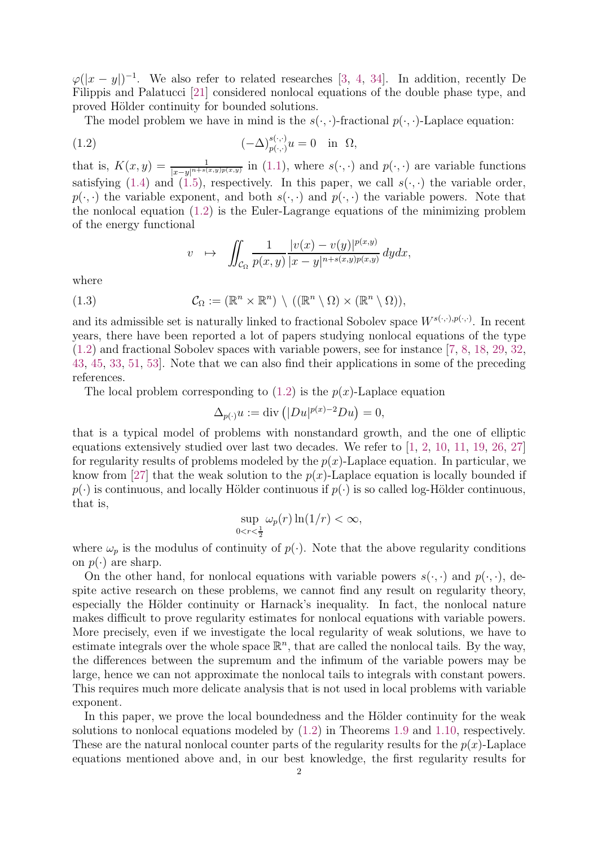$\varphi(|x-y|)^{-1}$ . We also refer to related researches [\[3,](#page-26-13) [4,](#page-26-14) [34\]](#page-27-17). In addition, recently De Filippis and Palatucci [\[21\]](#page-26-15) considered nonlocal equations of the double phase type, and proved Hölder continuity for bounded solutions.

The model problem we have in mind is the  $s(\cdot, \cdot)$ -fractional  $p(\cdot, \cdot)$ -Laplace equation:

(1.2) 
$$
(-\Delta)_{p(\cdot,\cdot)}^{s(\cdot,\cdot)}u = 0 \quad \text{in} \ \ \Omega,
$$

that is,  $K(x,y) = \frac{1}{|x-y|^{n+s(x,y)p(x,y)}}$  in [\(1.1\)](#page-0-0), where  $s(\cdot,\cdot)$  and  $p(\cdot,\cdot)$  are variable functions satisfying [\(1.4\)](#page-2-1) and [\(1.5\)](#page-2-2), respectively. In this paper, we call  $s(\cdot, \cdot)$  the variable order,  $p(\cdot, \cdot)$  the variable exponent, and both  $s(\cdot, \cdot)$  and  $p(\cdot, \cdot)$  the variable powers. Note that the nonlocal equation [\(1.2\)](#page-1-0) is the Euler-Lagrange equations of the minimizing problem of the energy functional

<span id="page-1-1"></span><span id="page-1-0"></span>
$$
v \mapsto \iint_{\mathcal{C}_{\Omega}} \frac{1}{p(x,y)} \frac{|v(x)-v(y)|^{p(x,y)}}{|x-y|^{n+s(x,y)p(x,y)}} dy dx,
$$

where

(1.3) 
$$
\mathcal{C}_{\Omega} := (\mathbb{R}^n \times \mathbb{R}^n) \setminus ((\mathbb{R}^n \setminus \Omega) \times (\mathbb{R}^n \setminus \Omega)),
$$

and its admissible set is naturally linked to fractional Sobolev space  $W^{s(\cdot,\cdot),p(\cdot,\cdot)}$ . In recent years, there have been reported a lot of papers studying nonlocal equations of the type [\(1.2\)](#page-1-0) and fractional Sobolev spaces with variable powers, see for instance [\[7,](#page-26-16) [8,](#page-26-17) [18,](#page-26-18) [29,](#page-27-18) [32,](#page-27-19) [43,](#page-27-20) [45,](#page-27-21) [33,](#page-27-22) [51,](#page-27-23) [53\]](#page-27-24). Note that we can also find their applications in some of the preceding references.

The local problem corresponding to  $(1.2)$  is the  $p(x)$ -Laplace equation

$$
\Delta_{p(\cdot)} u := \text{div} \left( |Du|^{p(x)-2} Du \right) = 0,
$$

that is a typical model of problems with nonstandard growth, and the one of elliptic equations extensively studied over last two decades. We refer to [\[1,](#page-26-19) [2,](#page-26-20) [10,](#page-26-21) [11,](#page-26-22) [19,](#page-26-23) [26,](#page-27-25) [27\]](#page-27-26) for regularity results of problems modeled by the  $p(x)$ -Laplace equation. In particular, we know from [\[27\]](#page-27-26) that the weak solution to the  $p(x)$ -Laplace equation is locally bounded if  $p(\cdot)$  is continuous, and locally Hölder continuous if  $p(\cdot)$  is so called log-Hölder continuous, that is,

$$
\sup_{0 < r < \frac{1}{2}} \omega_p(r) \ln(1/r) < \infty,
$$

where  $\omega_p$  is the modulus of continuity of  $p(\cdot)$ . Note that the above regularity conditions on  $p(\cdot)$  are sharp.

On the other hand, for nonlocal equations with variable powers  $s(\cdot, \cdot)$  and  $p(\cdot, \cdot)$ , despite active research on these problems, we cannot find any result on regularity theory, especially the Hölder continuity or Harnack's inequality. In fact, the nonlocal nature makes difficult to prove regularity estimates for nonlocal equations with variable powers. More precisely, even if we investigate the local regularity of weak solutions, we have to estimate integrals over the whole space  $\mathbb{R}^n$ , that are called the nonlocal tails. By the way, the differences between the supremum and the infimum of the variable powers may be large, hence we can not approximate the nonlocal tails to integrals with constant powers. This requires much more delicate analysis that is not used in local problems with variable exponent.

In this paper, we prove the local boundedness and the Hölder continuity for the weak solutions to nonlocal equations modeled by [\(1.2\)](#page-1-0) in Theorems [1.9](#page-3-1) and [1.10,](#page-3-2) respectively. These are the natural nonlocal counter parts of the regularity results for the  $p(x)$ -Laplace equations mentioned above and, in our best knowledge, the first regularity results for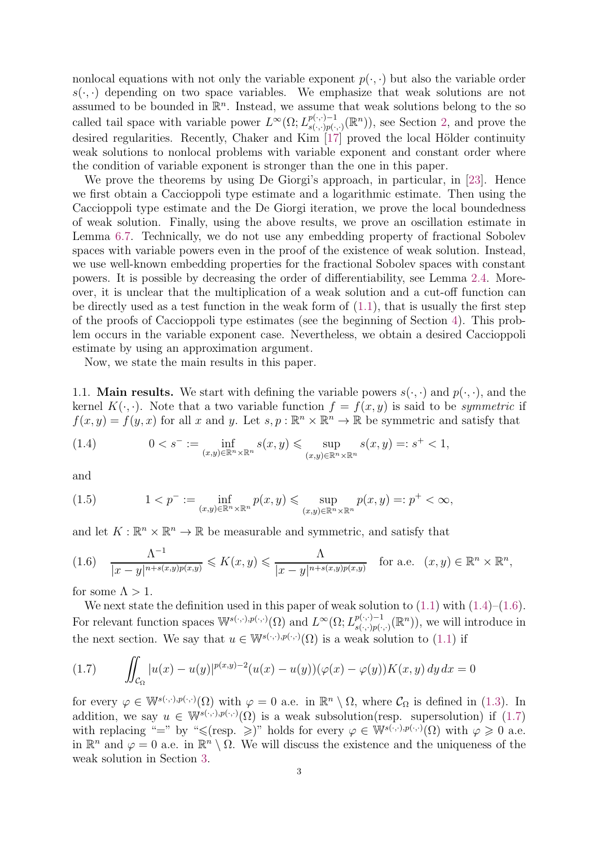nonlocal equations with not only the variable exponent  $p(\cdot, \cdot)$  but also the variable order  $s(\cdot, \cdot)$  depending on two space variables. We emphasize that weak solutions are not assumed to be bounded in  $\mathbb{R}^n$ . Instead, we assume that weak solutions belong to the so called tail space with variable power  $L^{\infty}(\Omega; L^{p(\cdot,\cdot)-1}_{s(\cdot,\cdot)p(\cdot)})$  $p(\cdot,\cdot)-1$ <sub>s( $\cdot,\cdot$ )</sub> $(\mathbb{R}^n)$ , see Section [2,](#page-3-0) and prove the desired regularities. Recently, Chaker and Kim [\[17\]](#page-26-24) proved the local Hölder continuity weak solutions to nonlocal problems with variable exponent and constant order where the condition of variable exponent is stronger than the one in this paper.

We prove the theorems by using De Giorgi's approach, in particular, in [\[23\]](#page-26-9). Hence we first obtain a Caccioppoli type estimate and a logarithmic estimate. Then using the Caccioppoli type estimate and the De Giorgi iteration, we prove the local boundedness of weak solution. Finally, using the above results, we prove an oscillation estimate in Lemma [6.7.](#page-20-0) Technically, we do not use any embedding property of fractional Sobolev spaces with variable powers even in the proof of the existence of weak solution. Instead, we use well-known embedding properties for the fractional Sobolev spaces with constant powers. It is possible by decreasing the order of differentiability, see Lemma [2.4.](#page-5-0) Moreover, it is unclear that the multiplication of a weak solution and a cut-off function can be directly used as a test function in the weak form of  $(1.1)$ , that is usually the first step of the proofs of Caccioppoli type estimates (see the beginning of Section [4\)](#page-9-0). This problem occurs in the variable exponent case. Nevertheless, we obtain a desired Caccioppoli estimate by using an approximation argument.

Now, we state the main results in this paper.

<span id="page-2-0"></span>1.1. **Main results.** We start with defining the variable powers  $s(\cdot, \cdot)$  and  $p(\cdot, \cdot)$ , and the kernel  $K(\cdot, \cdot)$ . Note that a two variable function  $f = f(x, y)$  is said to be *symmetric* if  $f(x, y) = f(y, x)$  for all x and y. Let  $s, p : \mathbb{R}^n \times \mathbb{R}^n \to \mathbb{R}$  be symmetric and satisfy that

<span id="page-2-1"></span>(1.4) 
$$
0 < s^- := \inf_{(x,y)\in \mathbb{R}^n \times \mathbb{R}^n} s(x,y) \leq \sup_{(x,y)\in \mathbb{R}^n \times \mathbb{R}^n} s(x,y) =: s^+ < 1,
$$

and

<span id="page-2-2"></span>(1.5) 
$$
1 < p^- := \inf_{(x,y)\in\mathbb{R}^n\times\mathbb{R}^n} p(x,y) \leq \sup_{(x,y)\in\mathbb{R}^n\times\mathbb{R}^n} p(x,y) =: p^+ < \infty,
$$

and let  $K: \mathbb{R}^n \times \mathbb{R}^n \to \mathbb{R}$  be measurable and symmetric, and satisfy that

<span id="page-2-3"></span>
$$
(1.6) \quad \frac{\Lambda^{-1}}{|x-y|^{n+s(x,y)p(x,y)}} \leqslant K(x,y) \leqslant \frac{\Lambda}{|x-y|^{n+s(x,y)p(x,y)}} \quad \text{for a.e.} \quad (x,y) \in \mathbb{R}^n \times \mathbb{R}^n,
$$

for some  $\Lambda > 1$ .

We next state the definition used in this paper of weak solution to  $(1.1)$  with  $(1.4)$ – $(1.6)$ . For relevant function spaces  $\mathbb{W}^{s(\cdot,\cdot),p(\cdot,\cdot)}(\Omega)$  and  $L^{\infty}(\Omega; L^{p(\cdot,\cdot)-1}_{s(\cdot,\cdot),p(\cdot,\cdot)}$  $p(\cdot,\cdot)-1}_{s(\cdot,\cdot)p(\cdot,\cdot)}(\mathbb{R}^n)$ , we will introduce in the next section. We say that  $u \in \mathbb{W}^{s(\cdot,\cdot),p(\cdot,\cdot)}(\Omega)$  is a weak solution to [\(1.1\)](#page-0-0) if

<span id="page-2-4"></span>(1.7) 
$$
\iint_{\mathcal{C}_{\Omega}} |u(x) - u(y)|^{p(x,y)-2} (u(x) - u(y)) (\varphi(x) - \varphi(y)) K(x, y) dy dx = 0
$$

for every  $\varphi \in \mathbb{W}^{s(\cdot,\cdot),p(\cdot,\cdot)}(\Omega)$  with  $\varphi = 0$  a.e. in  $\mathbb{R}^n \setminus \Omega$ , where  $\mathcal{C}_{\Omega}$  is defined in [\(1.3\)](#page-1-1). In addition, we say  $u \in \mathbb{W}^{s(\cdot,\cdot),p(\cdot,\cdot)}(\Omega)$  is a weak subsolution(resp. supersolution) if [\(1.7\)](#page-2-4) with replacing "=" by " $\leq$ (resp.  $\geq$ )" holds for every  $\varphi \in \mathbb{W}^{s(\cdot,\cdot),p(\cdot,\cdot)}(\Omega)$  with  $\varphi \geq 0$  a.e. in  $\mathbb{R}^n$  and  $\varphi = 0$  a.e. in  $\mathbb{R}^n \setminus \Omega$ . We will discuss the existence and the uniqueness of the weak solution in Section [3.](#page-7-0)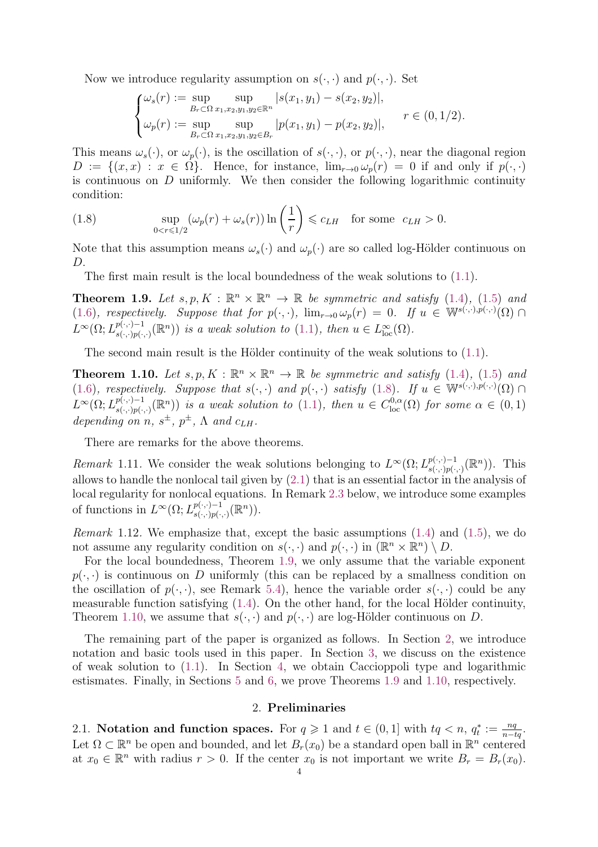Now we introduce regularity assumption on  $s(\cdot, \cdot)$  and  $p(\cdot, \cdot)$ . Set

$$
\begin{cases} \omega_s(r) := \sup_{B_r \subset \Omega} \sup_{x_1, x_2, y_1, y_2 \in \mathbb{R}^n} |s(x_1, y_1) - s(x_2, y_2)|, \\ \omega_p(r) := \sup_{B_r \subset \Omega} \sup_{x_1, x_2, y_1, y_2 \in B_r} |p(x_1, y_1) - p(x_2, y_2)|, \end{cases} \quad r \in (0, 1/2).
$$

This means  $\omega_s(\cdot)$ , or  $\omega_p(\cdot)$ , is the oscillation of  $s(\cdot, \cdot)$ , or  $p(\cdot, \cdot)$ , near the diagonal region  $D := \{(x, x) : x \in \Omega\}.$  Hence, for instance,  $\lim_{r \to 0} \omega_p(r) = 0$  if and only if  $p(\cdot, \cdot)$ is continuous on  $D$  uniformly. We then consider the following logarithmic continuity condition:

<span id="page-3-3"></span>(1.8) 
$$
\sup_{0 < r \leq 1/2} (\omega_p(r) + \omega_s(r)) \ln \left( \frac{1}{r} \right) \leq c_{LH} \text{ for some } c_{LH} > 0.
$$

Note that this assumption means  $\omega_s(\cdot)$  and  $\omega_p(\cdot)$  are so called log-Hölder continuous on D.

The first main result is the local boundedness of the weak solutions to  $(1.1)$ .

<span id="page-3-1"></span>**Theorem 1.9.** Let  $s, p, K : \mathbb{R}^n \times \mathbb{R}^n \to \mathbb{R}$  be symmetric and satisfy [\(1.4\)](#page-2-1), [\(1.5\)](#page-2-2) and [\(1.6\)](#page-2-3), respectively. Suppose that for  $p(\cdot, \cdot)$ ,  $\lim_{r\to 0} \omega_p(r) = 0$ . If  $u \in \mathbb{W}^{s(\cdot, \cdot), p(\cdot, \cdot)}(\Omega)$  $L^{\infty}(\Omega; L^{p(\cdot,\cdot)-1}_{s(\cdot,\cdot)p(\cdot)})$  $\mathbb{P}^{(\cdot,\cdot)-1}_{s(\cdot,\cdot)p(\cdot,\cdot)}(\mathbb{R}^n)$  is a weak solution to [\(1.1\)](#page-0-0), then  $u \in L^{\infty}_{loc}(\Omega)$ .

The second main result is the Hölder continuity of the weak solutions to  $(1.1)$ .

<span id="page-3-2"></span>**Theorem 1.10.** Let  $s, p, K : \mathbb{R}^n \times \mathbb{R}^n \to \mathbb{R}$  be symmetric and satisfy [\(1.4\)](#page-2-1), [\(1.5\)](#page-2-2) and [\(1.6\)](#page-2-3), respectively. Suppose that  $s(\cdot, \cdot)$  and  $p(\cdot, \cdot)$  satisfy [\(1.8\)](#page-3-3). If  $u \in \mathbb{W}^{s(\cdot, \cdot), p(\cdot, \cdot)}(\Omega) \cap$  $L^{\infty}(\Omega; L^{p(\cdot,\cdot)-1}_{s(\cdot,\cdot)p(\cdot)})$  $\mathbb{P}^{(\cdot,\cdot)-1}_{s(\cdot,\cdot)p(\cdot,\cdot)}(\mathbb{R}^n)$  is a weak solution to [\(1.1\)](#page-0-0), then  $u \in C^{0,\alpha}_{loc}(\Omega)$  for some  $\alpha \in (0,1)$ depending on n,  $s^{\pm}$ ,  $p^{\pm}$ ,  $\Lambda$  and  $c_{LH}$ .

There are remarks for the above theorems.

Remark 1.11. We consider the weak solutions belonging to  $L^{\infty}(\Omega; L^{p(\cdot,\cdot)-1}_{s(\cdot,\cdot)p(\cdot)})$  $_{s(\cdot,\cdot)p(\cdot,\cdot)}^{p(\cdot,\cdot)-1}(\mathbb{R}^n)$ ). This allows to handle the nonlocal tail given by [\(2.1\)](#page-4-0) that is an essential factor in the analysis of local regularity for nonlocal equations. In Remark [2.3](#page-4-1) below, we introduce some examples of functions in  $L^{\infty}(\Omega; L^{p(\cdot,\cdot)-1}_{s(\cdot,\cdot)p(\cdot)})$  $_{s(\cdot,\cdot)p(\cdot,\cdot)}^{p(\cdot,\cdot)-1}(\mathbb{R}^{n})).$ 

Remark 1.12. We emphasize that, except the basic assumptions  $(1.4)$  and  $(1.5)$ , we do not assume any regularity condition on  $s(\cdot, \cdot)$  and  $p(\cdot, \cdot)$  in  $(\mathbb{R}^n \times \mathbb{R}^n) \setminus D$ .

For the local boundedness, Theorem [1.9,](#page-3-1) we only assume that the variable exponent  $p(\cdot, \cdot)$  is continuous on D uniformly (this can be replaced by a smallness condition on the oscillation of  $p(\cdot, \cdot)$ , see Remark [5.4\)](#page-19-0), hence the variable order  $s(\cdot, \cdot)$  could be any measurable function satisfying  $(1.4)$ . On the other hand, for the local Hölder continuity, Theorem [1.10,](#page-3-2) we assume that  $s(\cdot, \cdot)$  and  $p(\cdot, \cdot)$  are log-Hölder continuous on D.

The remaining part of the paper is organized as follows. In Section [2,](#page-3-0) we introduce notation and basic tools used in this paper. In Section [3,](#page-7-0) we discuss on the existence of weak solution to  $(1.1)$ . In Section [4,](#page-9-0) we obtain Caccioppoli type and logarithmic estismates. Finally, in Sections [5](#page-16-0) and [6,](#page-19-1) we prove Theorems [1.9](#page-3-1) and [1.10,](#page-3-2) respectively.

## 2. Preliminaries

<span id="page-3-0"></span>2.1. Notation and function spaces. For  $q \geq 1$  and  $t \in (0, 1]$  with  $tq < n$ ,  $q_t^* := \frac{nq}{n-tq}$ . Let  $\Omega \subset \mathbb{R}^n$  be open and bounded, and let  $B_r(x_0)$  be a standard open ball in  $\mathbb{R}^n$  centered at  $x_0 \in \mathbb{R}^n$  with radius  $r > 0$ . If the center  $x_0$  is not important we write  $B_r = B_r(x_0)$ .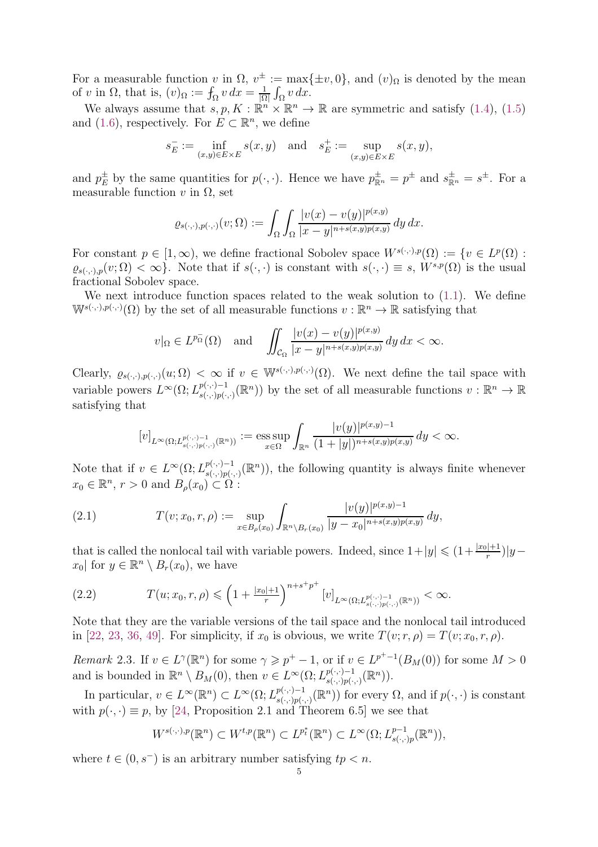For a measurable function v in  $\Omega$ ,  $v^{\pm} := \max{\{\pm v, 0\}}$ , and  $(v)_{\Omega}$  is denoted by the mean of v in  $\Omega$ , that is,  $(v)_{\Omega} := \int_{\Omega} v \, dx = \frac{1}{|\Omega|}$  $\frac{1}{|\Omega|} \int_{\Omega} v \, dx.$ 

We always assume that  $s, p, K : \mathbb{R}^n \times \mathbb{R}^n \to \mathbb{R}$  are symmetric and satisfy [\(1.4\)](#page-2-1), [\(1.5\)](#page-2-2) and [\(1.6\)](#page-2-3), respectively. For  $E \subset \mathbb{R}^n$ , we define

$$
s_E^- := \inf_{(x,y)\in E\times E} s(x,y) \quad \text{and} \quad s_E^+ := \sup_{(x,y)\in E\times E} s(x,y),
$$

and  $p_E^{\pm}$  by the same quantities for  $p(\cdot,\cdot)$ . Hence we have  $p_{\mathbb{R}^n}^{\pm} = p^{\pm}$  and  $s_{\mathbb{R}^n}^{\pm} = s^{\pm}$ . For a measurable function v in  $\Omega$ , set

$$
\varrho_{s(\cdot,\cdot),p(\cdot,\cdot)}(v;\Omega) := \int_{\Omega} \int_{\Omega} \frac{|v(x)-v(y)|^{p(x,y)}}{|x-y|^{n+s(x,y)p(x,y)}} dy dx.
$$

For constant  $p \in [1,\infty)$ , we define fractional Sobolev space  $W^{s(\cdot,\cdot),p}(\Omega) := \{v \in L^p(\Omega) :$  $\varrho_{s(\cdot,\cdot),p}(v;\Omega)<\infty$ . Note that if  $s(\cdot,\cdot)$  is constant with  $s(\cdot,\cdot)\equiv s$ ,  $W^{s,p}(\Omega)$  is the usual fractional Sobolev space.

We next introduce function spaces related to the weak solution to  $(1.1)$ . We define  $\mathbb{W}^{s(\cdot,\cdot),p(\cdot,\cdot)}(\Omega)$  by the set of all measurable functions  $v:\mathbb{R}^n\to\mathbb{R}$  satisfying that

$$
v|_{\Omega} \in L^{p_{\Omega}^{-}}(\Omega) \quad \text{and} \quad \iint_{\mathcal{C}_{\Omega}} \frac{|v(x) - v(y)|^{p(x,y)}}{|x - y|^{n + s(x,y)p(x,y)}} \, dy \, dx < \infty.
$$

Clearly,  $\varrho_{s(\cdot,\cdot),p(\cdot,\cdot)}(u;\Omega) < \infty$  if  $v \in \mathbb{W}^{s(\cdot,\cdot),p(\cdot,\cdot)}(\Omega)$ . We next define the tail space with variable powers  $L^{\infty}(\Omega; L^{p(\cdot,\cdot)-1}_{s(\cdot,\cdot),p(\cdot)})$  $s(\cdot,\cdot)-1 \ s(\cdot,\cdot)\rho(\cdot,\cdot)}$  by the set of all measurable functions  $v : \mathbb{R}^n \to \mathbb{R}$ satisfying that

$$
[v]_{L^{\infty}(\Omega;L^{p(\cdot,\cdot)-1}_{s(\cdot,\cdot)p(\cdot,\cdot)}(\mathbb{R}^n))}:=\text{ess}\sup_{x\in\Omega}\int_{\mathbb{R}^n}\frac{|v(y)|^{p(x,y)-1}}{(1+|y|)^{n+s(x,y)p(x,y)}}\,dy<\infty.
$$

Note that if  $v \in L^{\infty}(\Omega; L^{p(\cdot,\cdot)-1}_{s(\cdot,\cdot)p(\cdot)})$  $p(\cdot,\cdot)-1$ <sub>s( $\cdot,\cdot$ )</sub> $(p(\cdot,\cdot)-1)$ , the following quantity is always finite whenever  $x_0 \in \mathbb{R}^n$ ,  $r > 0$  and  $B_\rho(x_0) \subset \Omega$ :

<span id="page-4-0"></span>(2.1) 
$$
T(v; x_0, r, \rho) := \sup_{x \in B_{\rho}(x_0)} \int_{\mathbb{R}^n \setminus B_r(x_0)} \frac{|v(y)|^{p(x,y)-1}}{|y-x_0|^{n+s(x,y)p(x,y)}} dy,
$$

that is called the nonlocal tail with variable powers. Indeed, since  $1+|y| \leq (1+\frac{|x_0|+1}{r})|y$  $x_0$  for  $y \in \mathbb{R}^n \setminus B_r(x_0)$ , we have

<span id="page-4-2"></span>
$$
(2.2) \tT(u; x_0, r, \rho) \leq (1 + \frac{|x_0| + 1}{r})^{n + s + p^+} [v]_{L^{\infty}(\Omega; L^{p(\cdot, \cdot)-1}_{s(\cdot, \cdot)p(\cdot, \cdot)}(\mathbb{R}^n))} < \infty.
$$

Note that they are the variable versions of the tail space and the nonlocal tail introduced in [\[22,](#page-26-8) [23,](#page-26-9) [36,](#page-27-9) [49\]](#page-27-0). For simplicity, if  $x_0$  is obvious, we write  $T(v; r, \rho) = T(v; x_0, r, \rho)$ .

<span id="page-4-1"></span>Remark 2.3. If  $v \in L^{\gamma}(\mathbb{R}^n)$  for some  $\gamma \geqslant p^+ - 1$ , or if  $v \in L^{p^+-1}(B_M(0))$  for some  $M > 0$ and is bounded in  $\mathbb{R}^n \setminus B_M(0)$ , then  $v \in L^{\infty}(\Omega; L^{p(\cdot,\cdot)-1}_{s(\cdot,\cdot)p(\cdot,\cdot)}$  $_{s(\cdot,\cdot)p(\cdot,\cdot)}^{p(\cdot,\cdot)-1}(\mathbb{R}^{n})).$ 

In particular,  $v \in L^{\infty}(\mathbb{R}^n) \subset L^{\infty}(\Omega; L^{p(\cdot, \cdot)-1}_{s(\cdot, \cdot)p(\cdot)})$  $\mathbb{P}^{(\cdot,\cdot)-1}_{s(\cdot,\cdot)p(\cdot,\cdot)}(\mathbb{R}^n)$  for every  $\Omega$ , and if  $p(\cdot,\cdot)$  is constant with  $p(\cdot, \cdot) \equiv p$ , by [\[24,](#page-26-0) Proposition 2.1 and Theorem 6.5] we see that

$$
W^{s(\cdot,\cdot),p}(\mathbb{R}^n) \subset W^{t,p}(\mathbb{R}^n) \subset L^{p_t^*}(\mathbb{R}^n) \subset L^{\infty}(\Omega; L^{p-1}_{s(\cdot,\cdot)p}(\mathbb{R}^n)),
$$

where  $t \in (0, s^-)$  is an arbitrary number satisfying  $tp < n$ .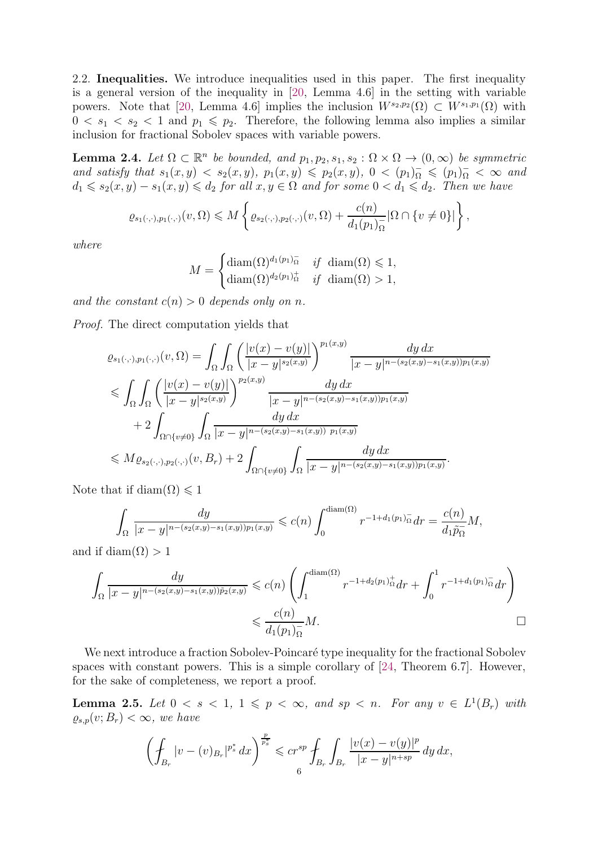2.2. Inequalities. We introduce inequalities used in this paper. The first inequality is a general version of the inequality in [\[20,](#page-26-11) Lemma 4.6] in the setting with variable powers. Note that [\[20,](#page-26-11) Lemma 4.6] implies the inclusion  $W^{s_2,p_2}(\Omega) \subset W^{s_1,p_1}(\Omega)$  with  $0 \lt s_1 \lt s_2 \lt 1$  and  $p_1 \leq p_2$ . Therefore, the following lemma also implies a similar inclusion for fractional Sobolev spaces with variable powers.

<span id="page-5-0"></span>**Lemma 2.4.** Let  $\Omega \subset \mathbb{R}^n$  be bounded, and  $p_1, p_2, s_1, s_2 : \Omega \times \Omega \to (0, \infty)$  be symmetric and satisfy that  $s_1(x, y) < s_2(x, y)$ ,  $p_1(x, y) \leqslant p_2(x, y)$ ,  $0 < (p_1)_{\Omega}^-\leqslant (p_1)_{\Omega}^- < \infty$  and  $d_1 \leqslant s_2(x, y) - s_1(x, y) \leqslant d_2$  for all  $x, y \in \Omega$  and for some  $0 < d_1 \leqslant d_2$ . Then we have

$$
\varrho_{s_1(\cdot,\cdot),p_1(\cdot,\cdot)}(v,\Omega)\leqslant M\left\{\varrho_{s_2(\cdot,\cdot),p_2(\cdot,\cdot)}(v,\Omega)+\frac{c(n)}{d_1(p_1)_{\Omega}^-}|\Omega\cap\{v\neq 0\}|\right\},\,
$$

where

$$
M = \begin{cases} \text{diam}(\Omega)^{d_1(p_1)} \bar{h} & \text{if } \operatorname{diam}(\Omega) \leq 1, \\ \text{diam}(\Omega)^{d_2(p_1)} \bar{h} & \text{if } \operatorname{diam}(\Omega) > 1, \end{cases}
$$

and the constant  $c(n) > 0$  depends only on n.

Proof. The direct computation yields that

$$
\varrho_{s_{1}(\cdot,\cdot),p_{1}(\cdot,\cdot)}(v,\Omega) = \int_{\Omega} \int_{\Omega} \left( \frac{|v(x)-v(y)|}{|x-y|^{s_{2}(x,y)}} \right)^{p_{1}(x,y)} \frac{dy \, dx}{|x-y|^{n-(s_{2}(x,y)-s_{1}(x,y))p_{1}(x,y)}} \n\leq \int_{\Omega} \int_{\Omega} \left( \frac{|v(x)-v(y)|}{|x-y|^{s_{2}(x,y)}} \right)^{p_{2}(x,y)} \frac{dy \, dx}{|x-y|^{n-(s_{2}(x,y)-s_{1}(x,y))p_{1}(x,y)}} \n+ 2 \int_{\Omega \cap \{v \neq 0\}} \int_{\Omega} \frac{dy \, dx}{|x-y|^{n-(s_{2}(x,y)-s_{1}(x,y))p_{1}(x,y)}} \n\leq M \varrho_{s_{2}(\cdot,\cdot),p_{2}(\cdot,\cdot)}(v,B_{r}) + 2 \int_{\Omega \cap \{v \neq 0\}} \int_{\Omega} \frac{dy \, dx}{|x-y|^{n-(s_{2}(x,y)-s_{1}(x,y))p_{1}(x,y)}}.
$$

Note that if diam( $\Omega$ )  $\leq 1$ 

$$
\int_{\Omega} \frac{dy}{|x-y|^{n-(s_2(x,y)-s_1(x,y))p_1(x,y)}} \leqslant c(n) \int_0^{\text{diam}(\Omega)} r^{-1+d_1(p_1)} \bar{\Omega} dr = \frac{c(n)}{d_1 \tilde{p}_\Omega} M,
$$

and if diam( $\Omega$ ) > 1

$$
\int_{\Omega} \frac{dy}{|x-y|^{n-(s_2(x,y)-s_1(x,y))\tilde{p}_2(x,y)}} \leqslant c(n) \left( \int_1^{\text{diam}(\Omega)} r^{-1+d_2(p_1)\frac{1}{\Omega}} dr + \int_0^1 r^{-1+d_1(p_1)\frac{1}{\Omega}} dr \right)
$$
  

$$
\leqslant \frac{c(n)}{d_1(p_1)\frac{1}{\Omega}} M.
$$

We next introduce a fraction Sobolev-Poincaré type inequality for the fractional Sobolev spaces with constant powers. This is a simple corollary of [\[24,](#page-26-0) Theorem 6.7]. However, for the sake of completeness, we report a proof.

<span id="page-5-1"></span>**Lemma 2.5.** Let  $0 < s < 1$ ,  $1 \leqslant p < \infty$ , and  $sp < n$ . For any  $v \in L^1(B_r)$  with  $\varrho_{s,p}(v;B_r)<\infty$ , we have

$$
\left(\oint_{B_r} |v - (v)_{B_r}|^{p^*_s} dx\right)^{\frac{p}{p^*_s}} \leqslant c r^{sp} \oint_{B_r} \int_{B_r} \frac{|v(x) - v(y)|^p}{|x - y|^{n + sp}} \, dy \, dx,
$$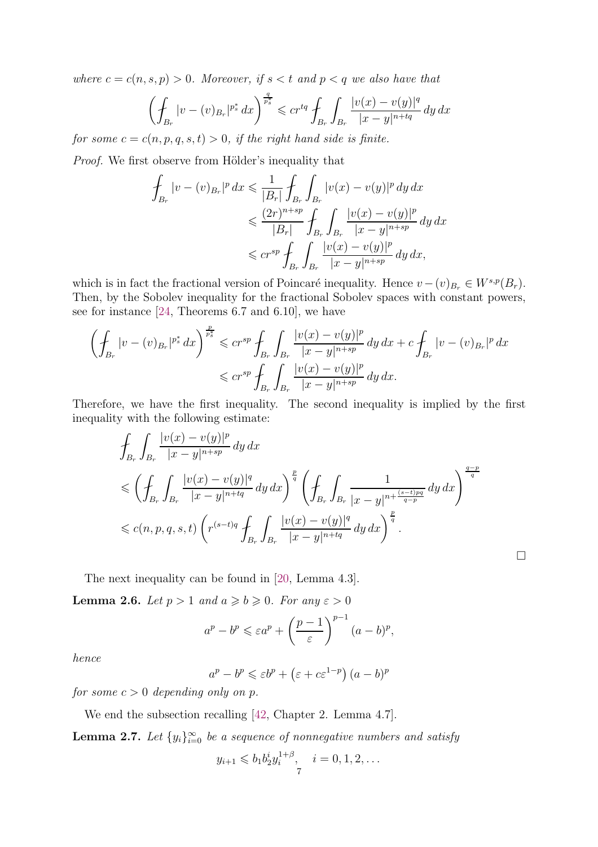where  $c = c(n, s, p) > 0$ . Moreover, if  $s < t$  and  $p < q$  we also have that

$$
\left(\oint_{B_r} |v - (v)_{B_r}|^{p^*_s} dx\right)^{\frac{q}{p^*_s}} \leqslant c r^{tq} \oint_{B_r} \int_{B_r} \frac{|v(x) - v(y)|^q}{|x - y|^{n + tq}} \, dy \, dx
$$

for some  $c = c(n, p, q, s, t) > 0$ , if the right hand side is finite.

*Proof.* We first observe from Hölder's inequality that

$$
\int_{B_r} |v - (v)_{B_r}|^p dx \leq \frac{1}{|B_r|} \int_{B_r} \int_{B_r} |v(x) - v(y)|^p dy dx
$$
  
\n
$$
\leq \frac{(2r)^{n+sp}}{|B_r|} \int_{B_r} \int_{B_r} \frac{|v(x) - v(y)|^p}{|x - y|^{n+sp}} dy dx
$$
  
\n
$$
\leq c r^{sp} \int_{B_r} \int_{B_r} \frac{|v(x) - v(y)|^p}{|x - y|^{n+sp}} dy dx,
$$

which is in fact the fractional version of Poincaré inequality. Hence  $v - (v)_{B_r} \in W^{s,p}(B_r)$ . Then, by the Sobolev inequality for the fractional Sobolev spaces with constant powers, see for instance [\[24,](#page-26-0) Theorems 6.7 and 6.10], we have

$$
\left(\oint_{B_r} |v - (v)_{B_r}|^{p_s^*} dx\right)^{\frac{p}{p_s^*}} \leqslant cr^{sp} \oint_{B_r} \int_{B_r} \frac{|v(x) - v(y)|^p}{|x - y|^{n + sp}} dy dx + c \oint_{B_r} |v - (v)_{B_r}|^p dx
$$
  

$$
\leqslant cr^{sp} \oint_{B_r} \int_{B_r} \frac{|v(x) - v(y)|^p}{|x - y|^{n + sp}} dy dx.
$$

Therefore, we have the first inequality. The second inequality is implied by the first inequality with the following estimate:

$$
\int_{B_r} \int_{B_r} \frac{|v(x) - v(y)|^p}{|x - y|^{n + sp}} dy dx
$$
\n
$$
\leq \left( \int_{B_r} \int_{B_r} \frac{|v(x) - v(y)|^q}{|x - y|^{n + tq}} dy dx \right)^{\frac{p}{q}} \left( \int_{B_r} \int_{B_r} \frac{1}{|x - y|^{n + \frac{(s - t)pq}{q - p}}} dy dx \right)^{\frac{q - p}{q}}
$$
\n
$$
\leq c(n, p, q, s, t) \left( r^{(s - t)q} \int_{B_r} \int_{B_r} \frac{|v(x) - v(y)|^q}{|x - y|^{n + tq}} dy dx \right)^{\frac{p}{q}}.
$$

 $\Box$ 

The next inequality can be found in [\[20,](#page-26-11) Lemma 4.3].

<span id="page-6-0"></span>**Lemma 2.6.** Let  $p > 1$  and  $a \ge b \ge 0$ . For any  $\varepsilon > 0$ 

$$
a^p - b^p \leqslant \varepsilon a^p + \left(\frac{p-1}{\varepsilon}\right)^{p-1} (a-b)^p,
$$

hence

$$
a^p - b^p \le \varepsilon b^p + \left(\varepsilon + c\varepsilon^{1-p}\right)(a-b)^p
$$

for some  $c > 0$  depending only on p.

We end the subsection recalling [\[42,](#page-27-27) Chapter 2. Lemma 4.7].

<span id="page-6-1"></span>**Lemma 2.7.** Let  $\{y_i\}_{i=0}^{\infty}$  be a sequence of nonnegative numbers and satisfy

$$
y_{i+1} \leq b_1 b_2^{i} y_i^{1+\beta}, \quad i = 0, 1, 2, \dots
$$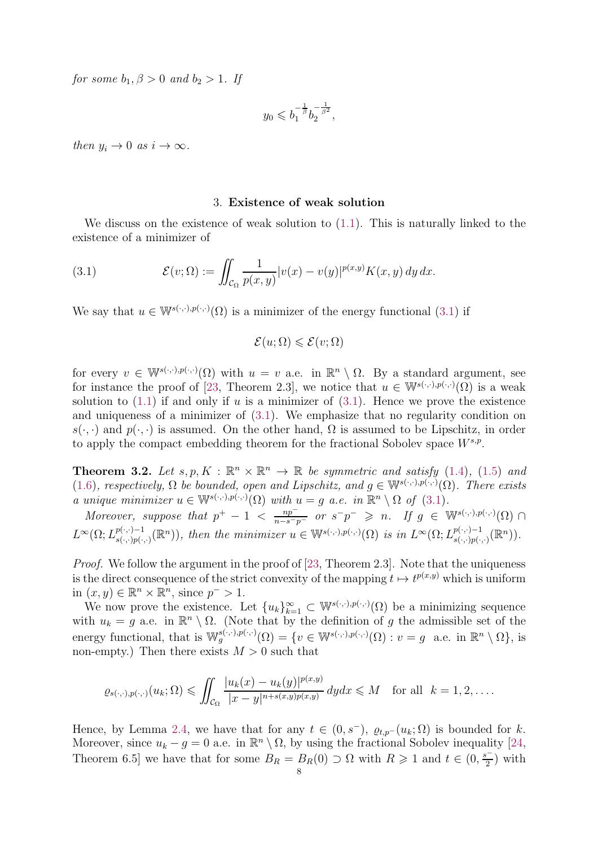for some  $b_1, \beta > 0$  and  $b_2 > 1$ . If

$$
y_0 \leqslant b_1^{-\frac{1}{\beta}} b_2^{-\frac{1}{\beta^2}},
$$

then  $y_i \to 0$  as  $i \to \infty$ .

#### <span id="page-7-1"></span>3. Existence of weak solution

<span id="page-7-0"></span>We discuss on the existence of weak solution to [\(1.1\)](#page-0-0). This is naturally linked to the existence of a minimizer of

(3.1) 
$$
\mathcal{E}(v;\Omega) := \iint_{\mathcal{C}_{\Omega}} \frac{1}{p(x,y)} |v(x) - v(y)|^{p(x,y)} K(x,y) dy dx.
$$

We say that  $u \in \mathbb{W}^{s(\cdot,\cdot),p(\cdot,\cdot)}(\Omega)$  is a minimizer of the energy functional [\(3.1\)](#page-7-1) if

$$
\mathcal{E}(u;\Omega) \leqslant \mathcal{E}(v;\Omega)
$$

for every  $v \in \mathbb{W}^{s(\cdot,\cdot),p(\cdot,\cdot)}(\Omega)$  with  $u = v$  a.e. in  $\mathbb{R}^n \setminus \Omega$ . By a standard argument, see for instance the proof of [\[23,](#page-26-9) Theorem 2.3], we notice that  $u \in \mathbb{W}^{s(\cdot,\cdot),p(\cdot,\cdot)}(\Omega)$  is a weak solution to  $(1.1)$  if and only if u is a minimizer of  $(3.1)$ . Hence we prove the existence and uniqueness of a minimizer of [\(3.1\)](#page-7-1). We emphasize that no regularity condition on  $s(\cdot, \cdot)$  and  $p(\cdot, \cdot)$  is assumed. On the other hand,  $\Omega$  is assumed to be Lipschitz, in order to apply the compact embedding theorem for the fractional Sobolev space  $W^{s,p}$ .

**Theorem 3.2.** Let  $s, p, K : \mathbb{R}^n \times \mathbb{R}^n \to \mathbb{R}$  be symmetric and satisfy [\(1.4\)](#page-2-1), [\(1.5\)](#page-2-2) and [\(1.6\)](#page-2-3), respectively,  $\Omega$  be bounded, open and Lipschitz, and  $g \in \mathbb{W}^{s(\cdot,\cdot),p(\cdot,\cdot)}(\Omega)$ . There exists a unique minimizer  $u \in \mathbb{W}^{s(\cdot,\cdot),p(\cdot,\cdot)}(\Omega)$  with  $u = g$  a.e. in  $\mathbb{R}^n \setminus \Omega$  of [\(3.1\)](#page-7-1).

Moreover, suppose that  $p^+ - 1 < \frac{np^-}{n-s-p^-}$  or  $s^-p^- \geq n$ . If  $g \in W^{s(\cdot,\cdot),p(\cdot,\cdot)}(\Omega)$  $L^{\infty}(\Omega; L^{p(\cdot,\cdot)-1}_{s(\cdot,\cdot)p(\cdot)})$  $s(\cdot,\cdot)=1 \ s(\cdot,\cdot)=1 \ s(\cdot,\cdot)$ , then the minimizer  $u \in \mathbb{W}^{s(\cdot,\cdot),p(\cdot,\cdot)}(\Omega)$  is in  $L^{\infty}(\Omega; L^{p(\cdot,\cdot)-1}_{s(\cdot,\cdot)p(\cdot,\cdot)})$  $_{s(\cdot,\cdot)p(\cdot,\cdot)}^{p(\cdot,\cdot)-1}(\mathbb{R}^{n})).$ 

Proof. We follow the argument in the proof of [\[23,](#page-26-9) Theorem 2.3]. Note that the uniqueness is the direct consequence of the strict convexity of the mapping  $t \mapsto t^{p(x,y)}$  which is uniform in  $(x, y) \in \mathbb{R}^n \times \mathbb{R}^n$ , since  $p^{-} > 1$ .

We now prove the existence. Let  ${u_k}_{k=1}^{\infty} \subset \mathbb{W}^{s(\cdot,\cdot),p(\cdot,\cdot)}(\Omega)$  be a minimizing sequence with  $u_k = g$  a.e. in  $\mathbb{R}^n \setminus \Omega$ . (Note that by the definition of g the admissible set of the energy functional, that is  $\mathbb{W}_g^{s(\cdot,\cdot),p(\cdot,\cdot)}(\Omega) = \{v \in \mathbb{W}^{s(\cdot,\cdot),p(\cdot,\cdot)}(\Omega) : v = g \text{ a.e. in } \mathbb{R}^n \setminus \Omega \},\$ non-empty.) Then there exists  $M > 0$  such that

$$
\varrho_{s(\cdot,\cdot),p(\cdot,\cdot)}(u_k;\Omega) \leq \iint_{\mathcal{C}_{\Omega}} \frac{|u_k(x)-u_k(y)|^{p(x,y)}}{|x-y|^{n+s(x,y)p(x,y)}} dy dx \leq M \quad \text{for all} \ \ k=1,2,\ldots.
$$

Hence, by Lemma [2.4,](#page-5-0) we have that for any  $t \in (0, s^-)$ ,  $\varrho_{t,p}$ - $(u_k; \Omega)$  is bounded for k. Moreover, since  $u_k - g = 0$  a.e. in  $\mathbb{R}^n \setminus \Omega$ , by using the fractional Sobolev inequality [\[24,](#page-26-0) Theorem 6.5] we have that for some  $B_R = B_R(0) \supset \Omega$  with  $R \ge 1$  and  $t \in (0, \frac{s^{-1}}{2})$  $\frac{1}{2}$ ) with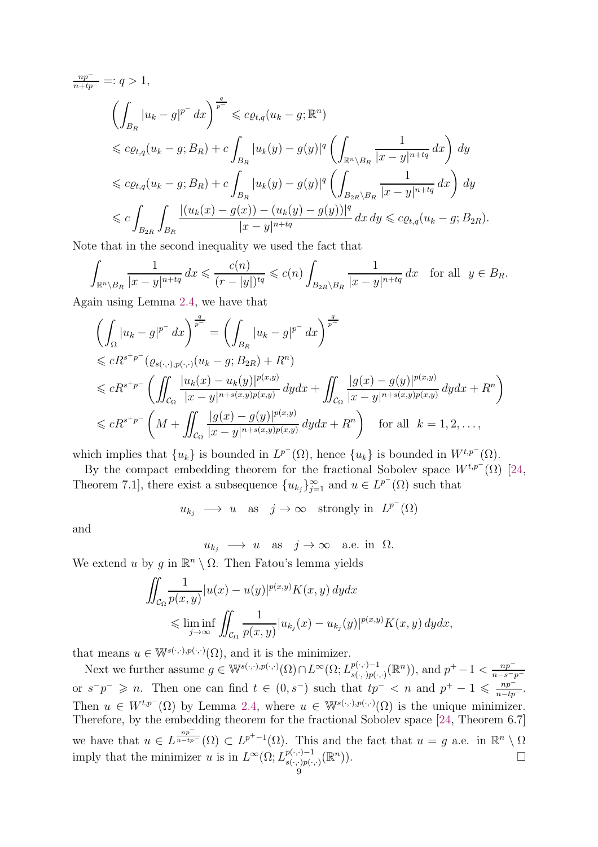$$
\frac{np^{-}}{n+tp^{-}} =: q > 1,
$$
\n
$$
\left(\int_{B_R} |u_k - g|^{p^{-}} dx\right)^{\frac{q}{p^{-}}} \leq c\varrho_{t,q}(u_k - g; \mathbb{R}^n)
$$
\n
$$
\leq c\varrho_{t,q}(u_k - g; B_R) + c \int_{B_R} |u_k(y) - g(y)|^q \left(\int_{\mathbb{R}^n \setminus B_R} \frac{1}{|x - y|^{n+ tq}} dx\right) dy
$$
\n
$$
\leq c\varrho_{t,q}(u_k - g; B_R) + c \int_{B_R} |u_k(y) - g(y)|^q \left(\int_{B_{2R} \setminus B_R} \frac{1}{|x - y|^{n+ tq}} dx\right) dy
$$
\n
$$
\leq c \int_{B_{2R}} \int_{B_R} \frac{|(u_k(x) - g(x)) - (u_k(y) - g(y))|^q}{|x - y|^{n+ tq}} dx dy \leq c\varrho_{t,q}(u_k - g; B_{2R}).
$$

Note that in the second inequality we used the fact that

$$
\int_{\mathbb{R}^n \setminus B_R} \frac{1}{|x-y|^{n+tq}} dx \leqslant \frac{c(n)}{(r-|y|)^{tq}} \leqslant c(n) \int_{B_{2R} \setminus B_R} \frac{1}{|x-y|^{n+tq}} dx \quad \text{for all} \ \ y \in B_R.
$$

Again using Lemma [2.4,](#page-5-0) we have that

$$
\left(\int_{\Omega} |u_{k} - g|^{p^{-}} dx\right)^{\frac{q}{p^{-}}} = \left(\int_{B_{R}} |u_{k} - g|^{p^{-}} dx\right)^{\frac{q}{p^{-}}}
$$
\n
$$
\leq cR^{s+p^{-}}(\varrho_{s(\cdot,\cdot),p(\cdot,\cdot)}(u_{k} - g; B_{2R}) + R^{n})
$$
\n
$$
\leq cR^{s+p^{-}}\left(\iint_{C_{\Omega}} \frac{|u_{k}(x) - u_{k}(y)|^{p(x,y)}}{|x - y|^{n + s(x,y)p(x,y)}} dy dx + \iint_{C_{\Omega}} \frac{|g(x) - g(y)|^{p(x,y)}}{|x - y|^{n + s(x,y)p(x,y)}} dy dx + R^{n}\right)
$$
\n
$$
\leq cR^{s+p^{-}}\left(M + \iint_{C_{\Omega}} \frac{|g(x) - g(y)|^{p(x,y)}}{|x - y|^{n + s(x,y)p(x,y)}} dy dx + R^{n}\right) \quad \text{for all} \quad k = 1, 2, ...,
$$

which implies that  $\{u_k\}$  is bounded in  $L^{p^-}(\Omega)$ , hence  $\{u_k\}$  is bounded in  $W^{t,p^-}(\Omega)$ .

By the compact embedding theorem for the fractional Sobolev space  $W^{t,p^-}(\Omega)$  [\[24,](#page-26-0) Theorem 7.1], there exist a subsequence  ${u_{k_j}}_{j=1}^{\infty}$  and  $u \in L^{p^-}(\Omega)$  such that

 $u_{k_j} \longrightarrow u$  as  $j \to \infty$  strongly in  $L^{p^-}(\Omega)$ 

and

$$
u_{k_j} \longrightarrow u
$$
 as  $j \to \infty$  a.e. in  $\Omega$ .

We extend u by g in  $\mathbb{R}^n \setminus \Omega$ . Then Fatou's lemma yields

$$
\iint_{\mathcal{C}_{\Omega}} \frac{1}{p(x,y)} |u(x) - u(y)|^{p(x,y)} K(x,y) dy dx
$$
\n
$$
\leq \liminf_{j \to \infty} \iint_{\mathcal{C}_{\Omega}} \frac{1}{p(x,y)} |u_{k_j}(x) - u_{k_j}(y)|^{p(x,y)} K(x,y) dy dx,
$$

that means  $u \in \mathbb{W}^{s(\cdot,\cdot),p(\cdot,\cdot)}(\Omega)$ , and it is the minimizer.

Next we further assume  $g \in \mathbb{W}^{s(\cdot,\cdot),p(\cdot,\cdot)}(\Omega) \cap L^{\infty}(\Omega; L^{p(\cdot,\cdot)-1}_{s(\cdot,\cdot),p(\cdot,\cdot)}).$  $_{s(\cdot,\cdot)p(\cdot,\cdot)}^{p(\cdot,\cdot)-1}(\mathbb{R}^n)$ , and  $p^+-1 < \frac{np^{-n}}{n-s-p}$  $n-s-p$ or  $s^-p^- \geq n$ . Then one can find  $t \in (0, s^-)$  such that  $tp^- < n$  and  $p^+ - 1 \leq \frac{np^-}{n - tp^-}$ . Then  $u \in W^{t,p^-}(\Omega)$  by Lemma [2.4,](#page-5-0) where  $u \in W^{s(\cdot,\cdot),p(\cdot,\cdot)}(\Omega)$  is the unique minimizer. Therefore, by the embedding theorem for the fractional Sobolev space [\[24,](#page-26-0) Theorem 6.7] we have that  $u \in L$  $np^{-}$  $\frac{n p}{n-t p^-}(\Omega) \subset L^{p^+-1}(\Omega)$ . This and the fact that  $u = g$  a.e. in  $\mathbb{R}^n \setminus \Omega$ imply that the minimizer u is in  $L^{\infty}(\Omega; L^{p(\cdot,\cdot)-1}_{s(\cdot,\cdot)p(\cdot)})$  $\mathbb{P}^{(\cdot,\cdot)-1}_{s(\cdot,\cdot)p(\cdot,\cdot)}(\mathbb{R}^n)$ .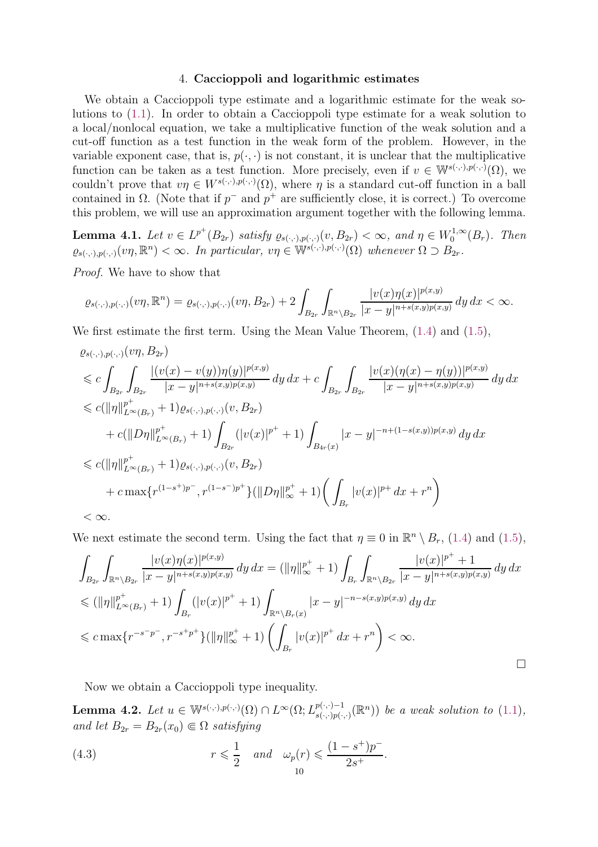## 4. Caccioppoli and logarithmic estimates

<span id="page-9-0"></span>We obtain a Caccioppoli type estimate and a logarithmic estimate for the weak solutions to [\(1.1\)](#page-0-0). In order to obtain a Caccioppoli type estimate for a weak solution to a local/nonlocal equation, we take a multiplicative function of the weak solution and a cut-off function as a test function in the weak form of the problem. However, in the variable exponent case, that is,  $p(\cdot, \cdot)$  is not constant, it is unclear that the multiplicative function can be taken as a test function. More precisely, even if  $v \in \mathbb{W}^{s(\cdot,\cdot),p(\cdot,\cdot)}(\Omega)$ , we couldn't prove that  $v\eta \in W^{s(\cdot,\cdot),p(\cdot,\cdot)}(\Omega)$ , where  $\eta$  is a standard cut-off function in a ball contained in  $\Omega$ . (Note that if  $p^-$  and  $p^+$  are sufficiently close, it is correct.) To overcome this problem, we will use an approximation argument together with the following lemma.

<span id="page-9-1"></span>**Lemma 4.1.** Let  $v \in L^{p^+}(B_{2r})$  satisfy  $\varrho_{s(\cdot,\cdot),p(\cdot,\cdot)}(v,B_{2r}) < \infty$ , and  $\eta \in W_0^{1,\infty}$  $b_0^{1,\infty}(B_r)$ . Then  $\varrho_{s(\cdot,\cdot),p(\cdot,\cdot)}(v\eta,\mathbb{R}^n)<\infty.$  In particular,  $v\eta\in\mathbb{W}^{s(\cdot,\cdot),p(\cdot,\cdot)}(\Omega)$  whenever  $\Omega\supset B_{2r}$ .

Proof. We have to show that

$$
\varrho_{s(\cdot,\cdot),p(\cdot,\cdot)}(v\eta,\mathbb{R}^n)=\varrho_{s(\cdot,\cdot),p(\cdot,\cdot)}(v\eta,B_{2r})+2\int_{B_{2r}}\int_{\mathbb{R}^n\setminus B_{2r}}\frac{|v(x)\eta(x)|^{p(x,y)}}{|x-y|^{n+s(x,y)p(x,y)}}\,dy\,dx<\infty.
$$

We first estimate the first term. Using the Mean Value Theorem, [\(1.4\)](#page-2-1) and [\(1.5\)](#page-2-2),

$$
\varrho_{s(\cdot,\cdot),p(\cdot,\cdot)}(v\eta, B_{2r})\n\leq c \int_{B_{2r}} \int_{B_{2r}} \frac{|(v(x) - v(y))\eta(y)|^{p(x,y)}}{|x - y|^{n + s(x,y)p(x,y)}} dy dx + c \int_{B_{2r}} \int_{B_{2r}} \frac{|v(x)(\eta(x) - \eta(y))|^{p(x,y)}}{|x - y|^{n + s(x,y)p(x,y)}} dy dx\n\leq c (\|\eta\|_{L^{\infty}(B_r)}^{p^{+}} + 1) \varrho_{s(\cdot,\cdot),p(\cdot,\cdot)}(v, B_{2r})\n+ c (\|D\eta\|_{L^{\infty}(B_r)}^{p^{+}} + 1) \int_{B_{2r}} (|v(x)|^{p^{+}} + 1) \int_{B_{4r}(x)} |x - y|^{-n + (1 - s(x,y))p(x,y)} dy dx\n\leq c (\|\eta\|_{L^{\infty}(B_r)}^{p^{+}} + 1) \varrho_{s(\cdot,\cdot),p(\cdot,\cdot)}(v, B_{2r})\n+ c \max\{r^{(1-s^{+})p^{-}}, r^{(1-s^{-})p^{+}}\} (\|D\eta\|_{\infty}^{p^{+}} + 1) \left(\int_{B_r} |v(x)|^{p^{+}} dx + r^{n}\right)\n<\infty.
$$

We next estimate the second term. Using the fact that  $\eta \equiv 0$  in  $\mathbb{R}^n \setminus B_r$ , [\(1.4\)](#page-2-1) and [\(1.5\)](#page-2-2),

$$
\int_{B_{2r}} \int_{\mathbb{R}^{n} \setminus B_{2r}} \frac{|v(x)\eta(x)|^{p(x,y)}}{|x-y|^{n+s(x,y)p(x,y)}} dy dx = (\|\eta\|_{\infty}^{p^{+}} + 1) \int_{B_{r}} \int_{\mathbb{R}^{n} \setminus B_{2r}} \frac{|v(x)|^{p^{+}} + 1}{|x-y|^{n+s(x,y)p(x,y)}} dy dx
$$
  
\n
$$
\leq (\|\eta\|_{L^{\infty}(B_{r})}^{p^{+}} + 1) \int_{B_{r}} (|v(x)|^{p^{+}} + 1) \int_{\mathbb{R}^{n} \setminus B_{r}(x)} |x-y|^{-n-s(x,y)p(x,y)} dy dx
$$
  
\n
$$
\leq c \max\{r^{-s-p^{-}}, r^{-s+p^{+}}\} (\|\eta\|_{\infty}^{p^{+}} + 1) \left(\int_{B_{r}} |v(x)|^{p^{+}} dx + r^{n}\right) < \infty.
$$

Now we obtain a Caccioppoli type inequality.

<span id="page-9-3"></span>**Lemma 4.2.** Let  $u \in \mathbb{W}^{s(\cdot,\cdot),p(\cdot,\cdot)}(\Omega) \cap L^{\infty}(\Omega; L^{p(\cdot,\cdot)-1}_{s(\cdot,\cdot),p(\cdot,\cdot)}).$  $\binom{p(\cdot,\cdot)-1}{s(\cdot,\cdot)p(\cdot,\cdot)}$  be a weak solution to  $(1.1)$ , and let  $B_{2r} = B_{2r}(x_0) \in \Omega$  satisfying

<span id="page-9-2"></span>(4.3) 
$$
r \leqslant \frac{1}{2} \quad and \quad \omega_p(r) \leqslant \frac{(1-s^+)p^-}{2s^+}.
$$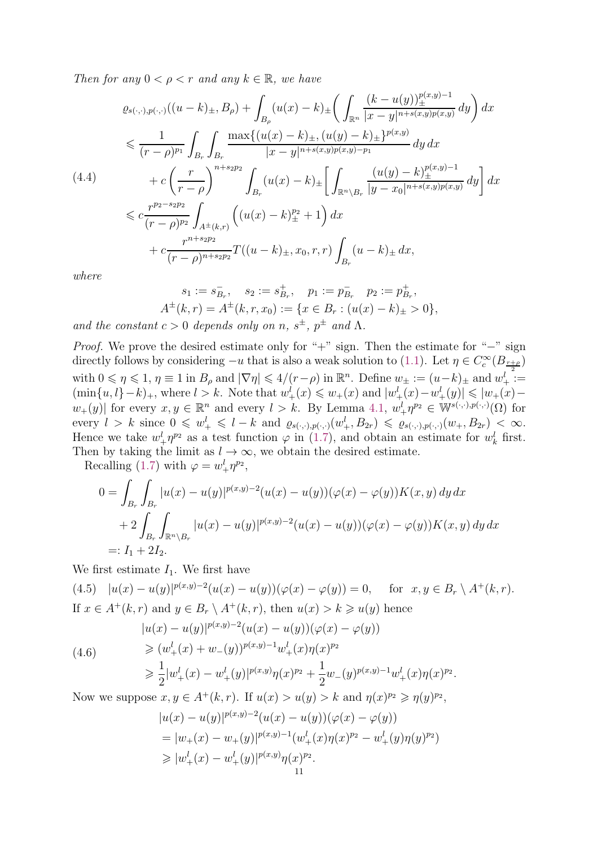Then for any  $0 < \rho < r$  and any  $k \in \mathbb{R}$ , we have

<span id="page-10-2"></span>
$$
\varrho_{s(\cdot,\cdot),p(\cdot,\cdot)}((u-k)_{\pm},B_{\rho}) + \int_{B_{\rho}} (u(x)-k)_{\pm} \left( \int_{\mathbb{R}^{n}} \frac{(k-u(y))_{\pm}^{p(x,y)-1}}{|x-y|^{n+s(x,y)p(x,y)}} dy \right) dx
$$
\n
$$
\leq \frac{1}{(r-\rho)^{p_1}} \int_{B_{r}} \int_{B_{r}} \frac{\max\{(u(x)-k)_{\pm}, (u(y)-k)_{\pm}\}^{p(x,y)}}{|x-y|^{n+s(x,y)p(x,y)-p_1}} dy dx
$$
\n
$$
+ c \left(\frac{r}{r-\rho}\right)^{n+s_{2p_{2}}} \int_{B_{r}} (u(x)-k)_{\pm} \left[ \int_{\mathbb{R}^{n}\setminus B_{r}} \frac{(u(y)-k)_{\pm}^{p(x,y)-1}}{|y-x_{0}|^{n+s(x,y)p(x,y)}} dy \right] dx
$$
\n
$$
\leq c \frac{r^{p_{2}-s_{2p_{2}}}}{(r-\rho)^{p_{2}}} \int_{A^{\pm}(k,r)} \left( (u(x)-k)_{\pm}^{p_{2}} + 1 \right) dx
$$
\n
$$
+ c \frac{r^{n+s_{2p_{2}}}}{(r-\rho)^{n+s_{2p_{2}}}} T((u-k)_{\pm}, x_{0}, r, r) \int_{B_{r}} (u-k)_{\pm} dx,
$$

where

$$
s_1 := s_{B_r}^-, \quad s_2 := s_{B_r}^+, \quad p_1 := p_{B_r}^-, \quad p_2 := p_{B_r}^+, A^{\pm}(k,r) = A^{\pm}(k,r,x_0) := \{x \in B_r : (u(x) - k)_{\pm} > 0\},
$$

and the constant  $c > 0$  depends only on n,  $s^{\pm}$ ,  $p^{\pm}$  and  $\Lambda$ .

Proof. We prove the desired estimate only for "+" sign. Then the estimate for "−" sign directly follows by considering  $-u$  that is also a weak solution to [\(1.1\)](#page-0-0). Let  $\eta \in C_c^{\infty}(B_{\frac{r+\rho}{2}})$ with  $0 \leq \eta \leq 1$ ,  $\eta \equiv 1$  in  $B_{\rho}$  and  $|\nabla \eta| \leq 4/(r-\rho)$  in  $\mathbb{R}^{n}$ . Define  $w_{\pm} := (u-k)_{\pm}$  and  $w_{+}^{l} :=$  $(\min\{u, l\} - k)_+$ , where  $l > k$ . Note that  $w_+^l(x) \leq w_+(x)$  and  $|w_+^l(x) - w_+^l(y)| \leq |w_+(x) - w_+^l(y)|$  $w_+(y)$  for every  $x, y \in \mathbb{R}^n$  and every  $l > k$ . By Lemma [4.1,](#page-9-1)  $w_+^l \eta^{p_2} \in \mathbb{W}^{s(\cdot,\cdot),p(\cdot,\cdot)}(\Omega)$  for every  $l > k$  since  $0 \leqslant w_+^l \leqslant l - k$  and  $\varrho_{s(\cdot,\cdot),p(\cdot,\cdot)}(w_+^l, B_{2r}) \leqslant \varrho_{s(\cdot,\cdot),p(\cdot,\cdot)}(w_+, B_{2r}) < \infty$ . Hence we take  $w_+^l \eta^{p_2}$  as a test function  $\varphi$  in [\(1.7\)](#page-2-4), and obtain an estimate for  $w_k^l$  first. Then by taking the limit as  $l \to \infty$ , we obtain the desired estimate.

Recalling [\(1.7\)](#page-2-4) with  $\varphi = w_+^l \eta^{p_2}$ ,

$$
0 = \int_{B_r} \int_{B_r} |u(x) - u(y)|^{p(x,y)-2} (u(x) - u(y)) (\varphi(x) - \varphi(y)) K(x, y) dy dx
$$
  
+ 
$$
2 \int_{B_r} \int_{\mathbb{R}^n \setminus B_r} |u(x) - u(y)|^{p(x,y)-2} (u(x) - u(y)) (\varphi(x) - \varphi(y)) K(x, y) dy dx
$$
  
=:  $I_1 + 2I_2$ .

We first estimate  $I_1$ . We first have

<span id="page-10-0"></span>
$$
(4.5) \quad |u(x) - u(y)|^{p(x,y)-2}(u(x) - u(y))(\varphi(x) - \varphi(y)) = 0, \quad \text{for } x, y \in B_r \setminus A^+(k, r).
$$
  
If  $x \in A^+(k, r)$  and  $y \in B_r \setminus A^+(k, r)$ , then  $u(x) > k \ge u(y)$  hence

$$
|u(x) - u(y)|^{p(x,y)-2}(u(x) - u(y))(\varphi(x) - \varphi(y))
$$
  
\n
$$
\geq (w_+^l(x) + w_-(y))^{p(x,y)-1}w_+^l(x)\eta(x)^{p_2}
$$

(4.6)

<span id="page-10-1"></span>
$$
\geqslant \frac{1}{2}|w^l_+(x)-w^l_+(y)|^{p(x,y)}\eta(x)^{p_2}+\frac{1}{2}w_-(y)^{p(x,y)-1}w^l_+(x)\eta(x)^{p_2}.
$$

Now we suppose  $x, y \in A^+(k, r)$ . If  $u(x) > u(y) > k$  and  $\eta(x)^{p_2} \geq \eta(y)^{p_2}$ ,

$$
|u(x) - u(y)|^{p(x,y)-2}(u(x) - u(y))(\varphi(x) - \varphi(y))
$$
  
=  $|w_+(x) - w_+(y)|^{p(x,y)-1}(w_+^l(x)\eta(x)^{p_2} - w_+^l(y)\eta(y)^{p_2})$   
 $\geq |w_+^l(x) - w_+^l(y)|^{p(x,y)}\eta(x)^{p_2}.$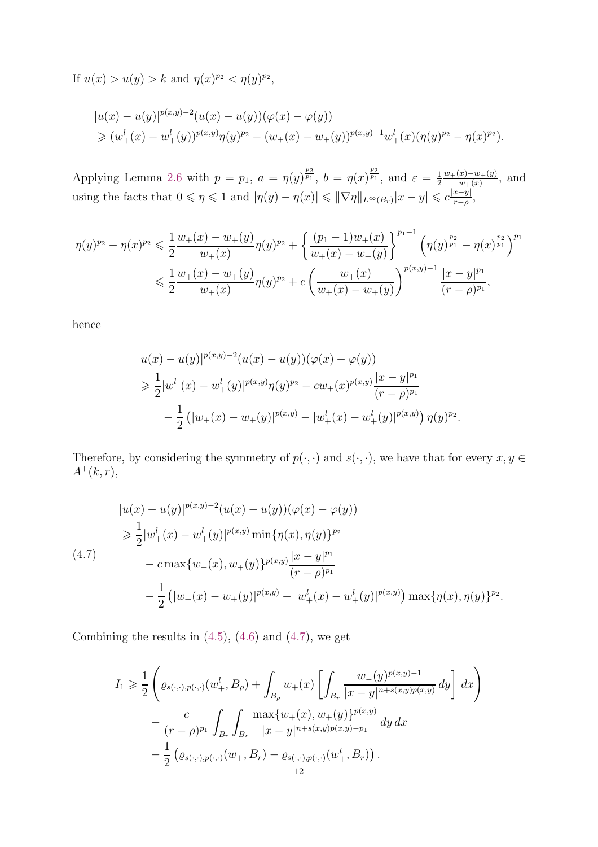If  $u(x) > u(y) > k$  and  $\eta(x)^{p_2} < \eta(y)^{p_2}$ ,

$$
|u(x) - u(y)|^{p(x,y)-2}(u(x) - u(y))(\varphi(x) - \varphi(y))
$$
  
\n
$$
\geq (w_+^l(x) - w_+^l(y))^{p(x,y)}\eta(y)^{p_2} - (w_+(x) - w_+(y))^{p(x,y)-1}w_+^l(x)(\eta(y)^{p_2} - \eta(x)^{p_2}).
$$

Applying Lemma [2.6](#page-6-0) with  $p = p_1$ ,  $a = \eta(y)^{\frac{p_2}{p_1}}$ ,  $b = \eta(x)^{\frac{p_2}{p_1}}$ , and  $\varepsilon = \frac{1}{2}$ 2  $w_+(x)-w_+(y)$  $\frac{x(-y)-w(x)}{w(x)}$ , and using the facts that  $0 \leq \eta \leq 1$  and  $|\eta(y) - \eta(x)| \leq \|\nabla \eta\|_{L^{\infty}(B_r)} |x - y| \leq c \frac{|x - y|}{r - \rho}$  $\frac{x-y_1}{r-\rho},$ 

$$
\begin{split} \eta(y)^{p_2} - \eta(x)^{p_2} &\leq \frac{1}{2} \frac{w_+(x) - w_+(y)}{w_+(x)} \eta(y)^{p_2} + \left\{ \frac{(p_1 - 1)w_+(x)}{w_+(x) - w_+(y)} \right\}^{p_1 - 1} \left( \eta(y)^{\frac{p_2}{p_1}} - \eta(x)^{\frac{p_2}{p_1}} \right)^{p_1} \\ &\leqslant \frac{1}{2} \frac{w_+(x) - w_+(y)}{w_+(x)} \eta(y)^{p_2} + c \left( \frac{w_+(x)}{w_+(x) - w_+(y)} \right)^{p(x,y) - 1} \frac{|x - y|^{p_1}}{(r - \rho)^{p_1}}, \end{split}
$$

hence

$$
|u(x) - u(y)|^{p(x,y)-2}(u(x) - u(y))(\varphi(x) - \varphi(y))
$$
  
\n
$$
\geq \frac{1}{2}|w_{+}^{l}(x) - w_{+}^{l}(y)|^{p(x,y)}\eta(y)^{p_2} - cw_{+}(x)^{p(x,y)}\frac{|x-y|^{p_1}}{(r-\rho)^{p_1}}
$$
  
\n
$$
-\frac{1}{2} (|w_{+}(x) - w_{+}(y)|^{p(x,y)} - |w_{+}^{l}(x) - w_{+}^{l}(y)|^{p(x,y)}) \eta(y)^{p_2}.
$$

Therefore, by considering the symmetry of  $p(\cdot, \cdot)$  and  $s(\cdot, \cdot)$ , we have that for every  $x, y \in$  $A^+(k,r)$ ,

<span id="page-11-0"></span>
$$
|u(x) - u(y)|^{p(x,y)-2}(u(x) - u(y))(\varphi(x) - \varphi(y))
$$
  
\n
$$
\geq \frac{1}{2}|w_{+}^{l}(x) - w_{+}^{l}(y)|^{p(x,y)} \min{\{\eta(x), \eta(y)\}^{p_2}}
$$
  
\n(4.7)  
\n
$$
- c \max\{w_{+}(x), w_{+}(y)\}^{p(x,y)} \frac{|x - y|^{p_1}}{(r - \rho)^{p_1}}
$$
  
\n
$$
- \frac{1}{2} (|w_{+}(x) - w_{+}(y)|^{p(x,y)} - |w_{+}^{l}(x) - w_{+}^{l}(y)|^{p(x,y)}) \max{\{\eta(x), \eta(y)\}^{p_2}}.
$$

Combining the results in  $(4.5)$ ,  $(4.6)$  and  $(4.7)$ , we get

$$
I_{1} \geq \frac{1}{2} \left( \varrho_{s(\cdot,\cdot),p(\cdot,\cdot)}(w_{+}^{l},B_{\rho}) + \int_{B_{\rho}} w_{+}(x) \left[ \int_{B_{r}} \frac{w_{-}(y)^{p(x,y)-1}}{|x-y|^{n+s(x,y)p(x,y)}} \, dy \right] \, dx \right) - \frac{c}{(r-\rho)^{p_{1}}} \int_{B_{r}} \int_{B_{r}} \frac{\max\{w_{+}(x),w_{+}(y)\}^{p(x,y)}}{|x-y|^{n+s(x,y)p(x,y)-p_{1}}} \, dy \, dx - \frac{1}{2} \left( \varrho_{s(\cdot,\cdot),p(\cdot,\cdot)}(w_{+},B_{r}) - \varrho_{s(\cdot,\cdot),p(\cdot,\cdot)}(w_{+}^{l},B_{r}) \right).
$$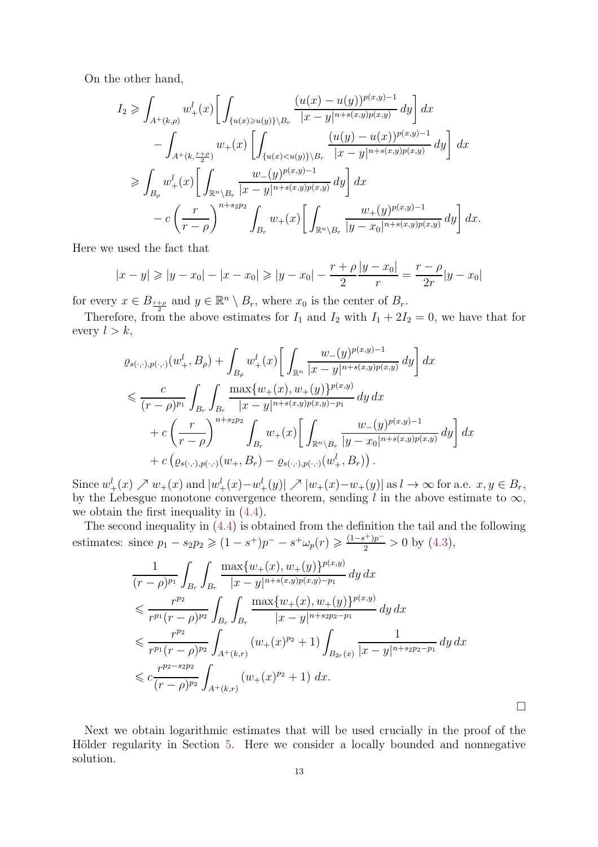On the other hand,

$$
I_2 \geqslant \int_{A^+(k,\rho)} w_+^l(x) \left[ \int_{\{u(x)\geqslant u(y)\}\backslash B_r} \frac{(u(x)-u(y))^{p(x,y)-1}}{|x-y|^{n+s(x,y)p(x,y)}} dy \right] dx
$$
  

$$
- \int_{A^+(k,\frac{r+\rho}{2})} w_+(x) \left[ \int_{\{u(x)  

$$
\geqslant \int_{B_\rho} w_+^l(x) \left[ \int_{\mathbb{R}^n\backslash B_r} \frac{w_-(y)^{p(x,y)-1}}{|x-y|^{n+s(x,y)p(x,y)}} dy \right] dx
$$
  

$$
- c \left( \frac{r}{r-\rho} \right)^{n+s_2p_2} \int_{B_r} w_+(x) \left[ \int_{\mathbb{R}^n\backslash B_r} \frac{w_+(y)^{p(x,y)-1}}{|y-x_0|^{n+s(x,y)p(x,y)}} dy \right] dx.
$$
$$

Here we used the fact that

$$
|x - y| \ge |y - x_0| - |x - x_0| \ge |y - x_0| - \frac{r + \rho}{2} \frac{|y - x_0|}{r} = \frac{r - \rho}{2r} |y - x_0|
$$

for every  $x \in B_{\frac{r+\rho}{2}}$  and  $y \in \mathbb{R}^n \setminus B_r$ , where  $x_0$  is the center of  $B_r$ .

Therefore, from the above estimates for  $I_1$  and  $I_2$  with  $I_1 + 2I_2 = 0$ , we have that for every  $l > k$ ,

$$
\varrho_{s(\cdot,\cdot),p(\cdot,\cdot)}(w_+^l, B_\rho) + \int_{B_\rho} w_+^l(x) \left[ \int_{\mathbb{R}^n} \frac{w_-(y)^{p(x,y)-1}}{|x-y|^{n+s(x,y)p(x,y)}} \, dy \right] dx
$$
\n
$$
\leq \frac{c}{(r-\rho)^{p_1}} \int_{B_r} \int_{B_r} \frac{\max\{w_+(x), w_+(y)\}^{p(x,y)}}{|x-y|^{n+s(x,y)p(x,y)-p_1}} \, dy \, dx
$$
\n
$$
+ c \left(\frac{r}{r-\rho}\right)^{n+s_2p_2} \int_{B_r} w_+(x) \left[ \int_{\mathbb{R}^n \setminus B_r} \frac{w_-(y)^{p(x,y)-1}}{|y-x_0|^{n+s(x,y)p(x,y)}} \, dy \right] dx
$$
\n
$$
+ c \left(\varrho_{s(\cdot,\cdot),p(\cdot,\cdot)}(w_+, B_r) - \varrho_{s(\cdot,\cdot),p(\cdot,\cdot)}(w_+, B_r)\right).
$$

Since  $w_+^l(x) \nearrow w_+(x)$  and  $|w_+^l(x) - w_+^l(y)| \nearrow |w_+(x) - w_+(y)|$  as  $l \to \infty$  for a.e.  $x, y \in B_r$ , by the Lebesgue monotone convergence theorem, sending l in the above estimate to  $\infty$ , we obtain the first inequality in [\(4.4\)](#page-10-2).

The second inequality in [\(4.4\)](#page-10-2) is obtained from the definition the tail and the following estimates: since  $p_1 - s_2 p_2 \geq (1 - s^+) p^- - s^+ \omega_p(r) \geq \frac{(1 - s^+) p^-}{2} > 0$  by [\(4.3\)](#page-9-2),

$$
\frac{1}{(r-\rho)^{p_1}} \int_{B_r} \int_{B_r} \frac{\max\{w_+(x), w_+(y)\}^{p(x,y)}}{|x-y|^{n+s(x,y)p(x,y)-p_1}} dy dx
$$
\n
$$
\leq \frac{r^{p_2}}{r^{p_1}(r-\rho)^{p_2}} \int_{B_r} \int_{B_r} \frac{\max\{w_+(x), w_+(y)\}^{p(x,y)}}{|x-y|^{n+s_2p_2-p_1}} dy dx
$$
\n
$$
\leq \frac{r^{p_2}}{r^{p_1}(r-\rho)^{p_2}} \int_{A^+(k,r)} (w_+(x)^{p_2}+1) \int_{B_{2r}(x)} \frac{1}{|x-y|^{n+s_2p_2-p_1}} dy dx
$$
\n
$$
\leq c \frac{r^{p_2-s_2p_2}}{(r-\rho)^{p_2}} \int_{A^+(k,r)} (w_+(x)^{p_2}+1) dx.
$$

Next we obtain logarithmic estimates that will be used crucially in the proof of the Hölder regularity in Section [5.](#page-16-0) Here we consider a locally bounded and nonnegative solution.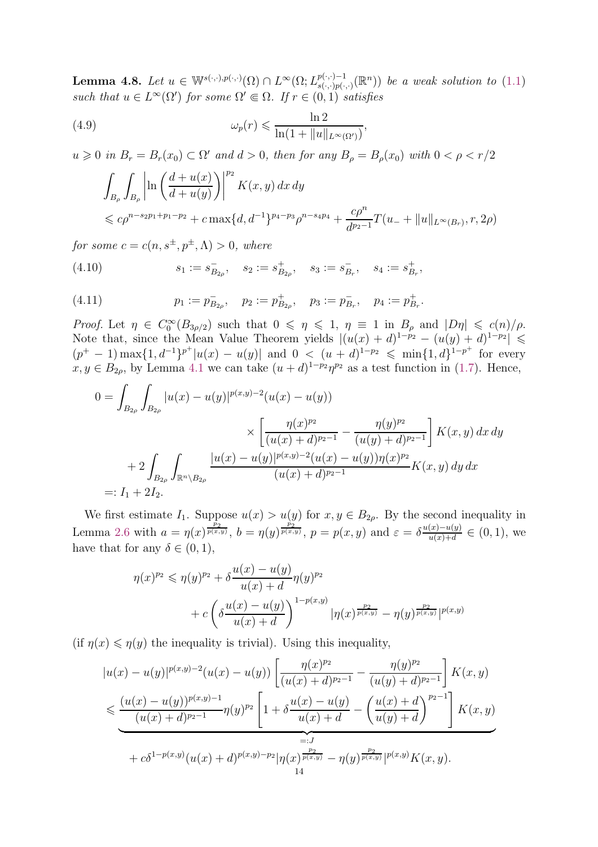<span id="page-13-3"></span>**Lemma 4.8.** Let  $u \in \mathbb{W}^{s(\cdot,\cdot),p(\cdot,\cdot)}(\Omega) \cap L^{\infty}(\Omega; L^{p(\cdot,\cdot)-1}_{s(\cdot,\cdot),p(\cdot,\cdot)}).$  $\binom{p(\cdot,\cdot)-1}{s(\cdot,\cdot)p(\cdot,\cdot)}$  be a weak solution to  $(1.1)$ such that  $u \in L^{\infty}(\Omega')$  for some  $\Omega' \in \Omega$ . If  $r \in (0,1)$  satisfies

(4.9) 
$$
\omega_p(r) \leqslant \frac{\ln 2}{\ln(1 + \|u\|_{L^\infty(\Omega')})},
$$

 $u \geq 0$  in  $B_r = B_r(x_0) \subset \Omega'$  and  $d > 0$ , then for any  $B_\rho = B_\rho(x_0)$  with  $0 < \rho < r/2$ 

<span id="page-13-0"></span>
$$
\int_{B_{\rho}} \int_{B_{\rho}} \left| \ln \left( \frac{d + u(x)}{d + u(y)} \right) \right|^{p_2} K(x, y) dx dy
$$
\n
$$
\leq c \rho^{n - s_2 p_1 + p_1 - p_2} + c \max\{d, d^{-1}\}^{p_4 - p_3} \rho^{n - s_4 p_4} + \frac{c \rho^n}{d^{p_2 - 1}} T(u_- + \|u\|_{L^{\infty}(B_r)}, r, 2\rho)
$$

for some  $c = c(n, s^{\pm}, p^{\pm}, \Lambda) > 0$ , where

<span id="page-13-1"></span>(4.10) 
$$
s_1 := s_{B_{2\rho}}^-, \quad s_2 := s_{B_{2\rho}}^+, \quad s_3 := s_{B_r}^-, \quad s_4 := s_{B_r}^+,
$$

<span id="page-13-2"></span>(4.11) 
$$
p_1 := p_{B_{2\rho}}^-, \quad p_2 := p_{B_{2\rho}}^+, \quad p_3 := p_{B_r}^-, \quad p_4 := p_{B_r}^+.
$$

Proof. Let  $\eta \in C_0^{\infty}(B_{3\rho/2})$  such that  $0 \leq \eta \leq 1$ ,  $\eta \equiv 1$  in  $B_\rho$  and  $|D\eta| \leq c(n)/\rho$ . Note that, since the Mean Value Theorem yields  $|(u(x) + d)^{1-p_2} - (u(y) + d)^{1-p_2}| \le$  $(p^+ - 1) \max\{1, d^{-1}\}^{p^+}|u(x) - u(y)|$  and  $0 < (u + d)^{1-p_2} \leq \min\{1, d\}^{1-p^+}$  for every  $x, y \in B_{2\rho}$ , by Lemma [4.1](#page-9-1) we can take  $(u+d)^{1-p_2}\eta^{p_2}$  as a test function in [\(1.7\)](#page-2-4). Hence,

$$
0 = \int_{B_{2\rho}} \int_{B_{2\rho}} |u(x) - u(y)|^{p(x,y)-2} (u(x) - u(y))
$$
  
\$\times \left[ \frac{\eta(x)^{p\_2}}{(u(x) + d)^{p\_2 - 1}} - \frac{\eta(y)^{p\_2}}{(u(y) + d)^{p\_2 - 1}} \right] K(x,y) dx dy\$  
\$+ 2 \int\_{B\_{2\rho}} \int\_{\mathbb{R}^n \setminus B\_{2\rho}} \frac{|u(x) - u(y)|^{p(x,y)-2} (u(x) - u(y)) \eta(x)^{p\_2}}{(u(x) + d)^{p\_2 - 1}} K(x,y) dy dx\$  
\$=: I\_1 + 2I\_2\$.

We first estimate  $I_1$ . Suppose  $u(x) > u(y)$  for  $x, y \in B_{2\rho}$ . By the second inequality in Lemma [2.6](#page-6-0) with  $a = \eta(x)^{\frac{p_2}{p(x,y)}}, b = \eta(y)^{\frac{p_2}{p(x,y)}}, p = p(x,y)$  and  $\varepsilon = \delta \frac{u(x)-u(y)}{u(x)+d}$  $\frac{(x)-u(y)}{u(x)+d} \in (0,1)$ , we have that for any  $\delta \in (0, 1)$ ,

$$
\eta(x)^{p_2} \leqslant \eta(y)^{p_2} + \delta \frac{u(x) - u(y)}{u(x) + d} \eta(y)^{p_2}
$$
  
+ 
$$
c \left( \delta \frac{u(x) - u(y)}{u(x) + d} \right)^{1 - p(x,y)} |\eta(x)^{\frac{p_2}{p(x,y)}} - \eta(y)^{\frac{p_2}{p(x,y)}}|^{p(x,y)}
$$

(if  $\eta(x) \leq \eta(y)$  the inequality is trivial). Using this inequality,

$$
|u(x) - u(y)|^{p(x,y)-2}(u(x) - u(y)) \left[ \frac{\eta(x)^{p_2}}{(u(x) + d)^{p_2 - 1}} - \frac{\eta(y)^{p_2}}{(u(y) + d)^{p_2 - 1}} \right] K(x,y)
$$
  

$$
\leq \frac{(u(x) - u(y))^{p(x,y)-1}}{(u(x) + d)^{p_2 - 1}} \eta(y)^{p_2} \left[ 1 + \delta \frac{u(x) - u(y)}{u(x) + d} - \left( \frac{u(x) + d}{u(y) + d} \right)^{p_2 - 1} \right] K(x,y)
$$
  

$$
= J
$$
  
+  $c\delta^{1-p(x,y)} (u(x) + d)^{p(x,y)-p_2} |\eta(x)^{\frac{p_2}{p(x,y)}} - \eta(y)^{\frac{p_2}{p(x,y)}}|^{p(x,y)} K(x,y).$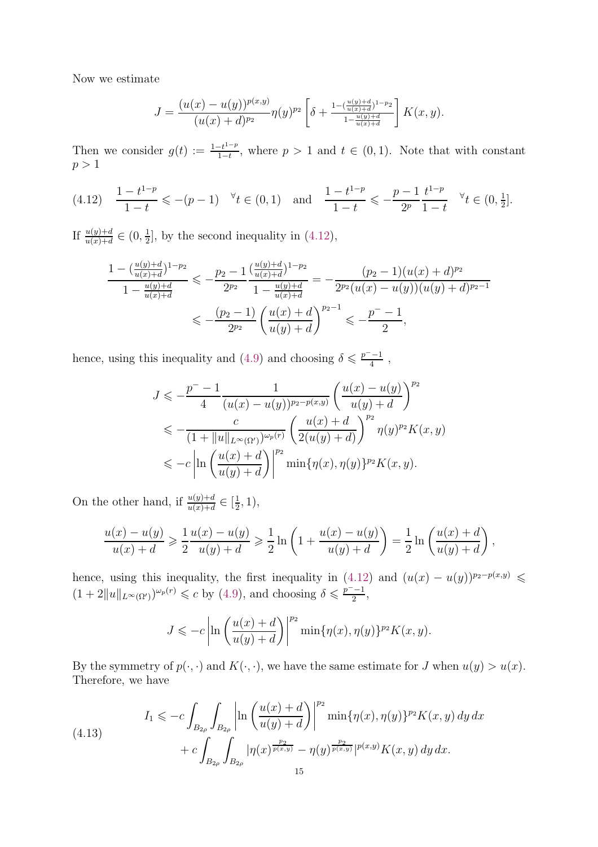Now we estimate

$$
J = \frac{(u(x) - u(y))^{p(x,y)}}{(u(x) + d)^{p_2}} \eta(y)^{p_2} \left[ \delta + \frac{1 - (\frac{u(y) + d}{u(x) + d})^{1 - p_2}}{1 - \frac{u(y) + d}{u(x) + d}} \right] K(x, y).
$$

Then we consider  $g(t) := \frac{1-t^{1-p}}{1-t}$  $\frac{-t^{1-p}}{1-t}$ , where  $p > 1$  and  $t \in (0,1)$ . Note that with constant  $p > 1$ 

<span id="page-14-0"></span>
$$
(4.12) \quad \frac{1-t^{1-p}}{1-t} \leqslant -(p-1) \quad \forall t \in (0,1) \quad \text{and} \quad \frac{1-t^{1-p}}{1-t} \leqslant -\frac{p-1}{2^p} \frac{t^{1-p}}{1-t} \quad \forall t \in (0,\frac{1}{2}].
$$

If  $\frac{u(y)+d}{u(x)+d} \in (0, \frac{1}{2})$  $\frac{1}{2}$ , by the second inequality in  $(4.12)$ ,

$$
\frac{1 - \left(\frac{u(y) + d}{u(x) + d}\right)^{1 - p_2}}{1 - \frac{u(y) + d}{u(x) + d}} \leqslant -\frac{p_2 - 1}{2^{p_2}} \frac{\left(\frac{u(y) + d}{u(x) + d}\right)^{1 - p_2}}{1 - \frac{u(y) + d}{u(x) + d}} = -\frac{(p_2 - 1)(u(x) + d)^{p_2}}{2^{p_2}(u(x) - u(y))(u(y) + d)^{p_2 - 1}}
$$
\n
$$
\leqslant -\frac{(p_2 - 1)}{2^{p_2}} \left(\frac{u(x) + d}{u(y) + d}\right)^{p_2 - 1} \leqslant -\frac{p^- - 1}{2},
$$

hence, using this inequality and [\(4.9\)](#page-13-0) and choosing  $\delta \leq \frac{p^2-1}{4}$  $\frac{-1}{4}$ ,

$$
J \leqslant -\frac{p^{-} - 1}{4} \frac{1}{(u(x) - u(y))^{p_2 - p(x,y)}} \left(\frac{u(x) - u(y)}{u(y) + d}\right)^{p_2}
$$
  

$$
\leqslant -\frac{c}{(1 + \|u\|_{L^{\infty}(\Omega')})^{\omega_p(r)}} \left(\frac{u(x) + d}{2(u(y) + d)}\right)^{p_2} \eta(y)^{p_2} K(x, y)
$$
  

$$
\leqslant -c \left| \ln \left(\frac{u(x) + d}{u(y) + d}\right) \right|^{p_2} \min\{\eta(x), \eta(y)\}^{p_2} K(x, y).
$$

On the other hand, if  $\frac{u(y)+d}{u(x)+d} \in \left[\frac{1}{2}\right]$  $(\frac{1}{2}, 1),$ 

$$
\frac{u(x) - u(y)}{u(x) + d} \ge \frac{1}{2} \frac{u(x) - u(y)}{u(y) + d} \ge \frac{1}{2} \ln \left( 1 + \frac{u(x) - u(y)}{u(y) + d} \right) = \frac{1}{2} \ln \left( \frac{u(x) + d}{u(y) + d} \right),
$$

hence, using this inequality, the first inequality in  $(4.12)$  and  $(u(x) - u(y))^{p_2-p(x,y)} \leq$  $(1+2||u||_{L^{\infty}(\Omega')})^{\omega_p(r)} \leq c$  by [\(4.9\)](#page-13-0), and choosing  $\delta \leq \frac{p^{\delta}-1}{2}$  $\frac{-1}{2}$ ,

$$
J \leqslant -c \left| \ln \left( \frac{u(x) + d}{u(y) + d} \right) \right|^{p_2} \min \{ \eta(x), \eta(y) \}^{p_2} K(x, y).
$$

By the symmetry of  $p(\cdot, \cdot)$  and  $K(\cdot, \cdot)$ , we have the same estimate for J when  $u(y) > u(x)$ . Therefore, we have

<span id="page-14-1"></span>(4.13) 
$$
I_{1} \leqslant -c \int_{B_{2\rho}} \int_{B_{2\rho}} \left| \ln \left( \frac{u(x) + d}{u(y) + d} \right) \right|^{p_{2}} \min\{\eta(x), \eta(y)\}^{p_{2}} K(x, y) dy dx + c \int_{B_{2\rho}} \int_{B_{2\rho}} |\eta(x)^{\frac{p_{2}}{p(x,y)}} - \eta(y)^{\frac{p_{2}}{p(x,y)}}|^{p(x,y)} K(x, y) dy dx.
$$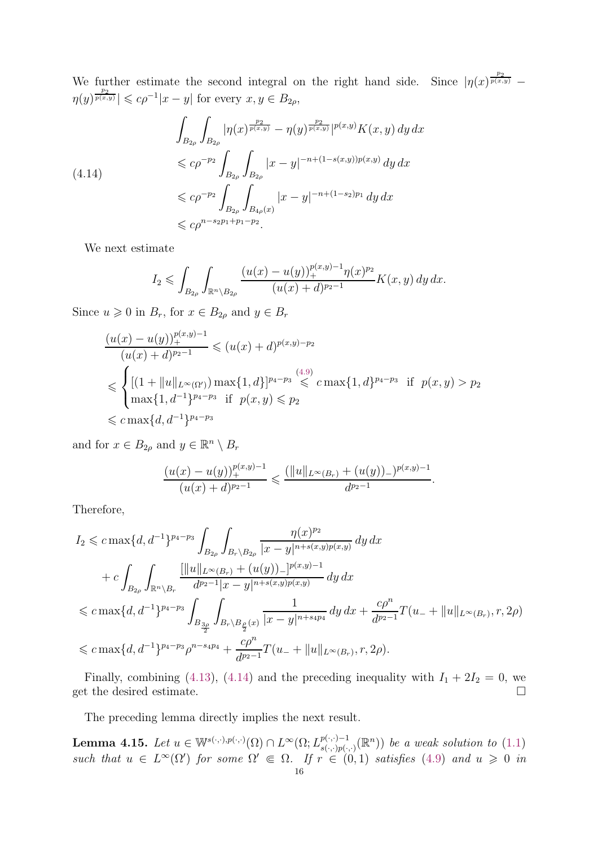We further estimate the second integral on the right hand side. Since  $|\eta(x)^{\frac{p_2}{p(x,y)}} \eta(y)^{\frac{p_2}{p(x,y)}} \leqslant c\rho^{-1}|x-y|$  for every  $x, y \in B_{2\rho}$ ,

<span id="page-15-0"></span>
$$
\int_{B_{2\rho}} \int_{B_{2\rho}} |\eta(x)^{\frac{p_2}{p(x,y)}} - \eta(y)^{\frac{p_2}{p(x,y)}}|^{p(x,y)} K(x,y) \, dy \, dx
$$
\n
$$
\leq c\rho^{-p_2} \int_{B_{2\rho}} \int_{B_{2\rho}} |x - y|^{-n + (1 - s(x,y))p(x,y)} \, dy \, dx
$$
\n
$$
\leq c\rho^{-p_2} \int_{B_{2\rho}} \int_{B_{4\rho}(x)} |x - y|^{-n + (1 - s_2)p_1} \, dy \, dx
$$
\n
$$
\leq c\rho^{n - s_2 p_1 + p_1 - p_2}.
$$

We next estimate

$$
I_2 \leqslant \int_{B_{2\rho}} \int_{\mathbb{R}^n \setminus B_{2\rho}} \frac{(u(x) - u(y))_+^{p(x,y)-1} \eta(x)^{p_2}}{(u(x) + d)^{p_2 - 1}} K(x, y) \, dy \, dx.
$$

Since  $u \geq 0$  in  $B_r$ , for  $x \in B_{2\rho}$  and  $y \in B_r$ 

$$
\frac{(u(x) - u(y))_{+}^{p(x,y)-1}}{(u(x) + d)^{p_2 - 1}} \leq (u(x) + d)^{p(x,y)-p_2}
$$
\n
$$
\leq \begin{cases}\n[(1 + ||u||_{L^{\infty}(\Omega')}) \max\{1, d\}]^{p_4 - p_3} \leq c \max\{1, d\}^{p_4 - p_3} & \text{if } p(x, y) > p_2 \\
\max\{1, d^{-1}\}^{p_4 - p_3} & \text{if } p(x, y) \leq p_2\n\end{cases}
$$
\n
$$
\leq c \max\{d, d^{-1}\}^{p_4 - p_3}
$$

and for  $x \in B_{2\rho}$  and  $y \in \mathbb{R}^n \setminus B_r$ 

$$
\frac{(u(x) - u(y))_+^{p(x,y)-1}}{(u(x) + d)^{p_2-1}} \leq \frac{(\|u\|_{L^\infty(B_r)} + (u(y))_-)^{p(x,y)-1}}{d^{p_2-1}}.
$$

Therefore,

$$
I_2 \leqslant c \max\{d, d^{-1}\}^{p_4-p_3} \int_{B_{2\rho}} \int_{B_r \setminus B_{2\rho}} \frac{\eta(x)^{p_2}}{|x - y|^{n + s(x, y)p(x, y)}} \, dy \, dx
$$
  
+ 
$$
c \int_{B_{2\rho}} \int_{\mathbb{R}^n \setminus B_r} \frac{[\|u\|_{L^{\infty}(B_r)} + (u(y))_-]^{p(x, y)-1}}{d^{p_2-1}|x - y|^{n + s(x, y)p(x, y)}} \, dy \, dx
$$
  

$$
\leqslant c \max\{d, d^{-1}\}^{p_4-p_3} \int_{B_{\frac{3\rho}{2}}} \int_{B_r \setminus B_{\frac{\rho}{2}}(x)} \frac{1}{|x - y|^{n + s_4 p_4}} \, dy \, dx + \frac{c\rho^n}{d^{p_2-1}} T(u_- + \|u\|_{L^{\infty}(B_r)}, r, 2\rho)
$$
  

$$
\leqslant c \max\{d, d^{-1}\}^{p_4-p_3} \rho^{n - s_4 p_4} + \frac{c\rho^n}{d^{p_2-1}} T(u_- + \|u\|_{L^{\infty}(B_r)}, r, 2\rho).
$$

Finally, combining [\(4.13\)](#page-14-1), [\(4.14\)](#page-15-0) and the preceding inequality with  $I_1 + 2I_2 = 0$ , we get the desired estimate.  $\Box$ 

The preceding lemma directly implies the next result.

<span id="page-15-1"></span>**Lemma 4.15.** Let  $u \in \mathbb{W}^{s(\cdot,\cdot),p(\cdot,\cdot)}(\Omega) \cap L^{\infty}(\Omega; L^{p(\cdot,\cdot)-1}_{s(\cdot,\cdot),p(\cdot,\cdot)}).$  $\binom{p(\cdot,\cdot)-1}{s(\cdot,\cdot)p(\cdot,\cdot)}$  be a weak solution to  $(1.1)$ such that  $u \in L^{\infty}(\Omega')$  for some  $\Omega' \in \Omega$ . If  $r \in (0,1)$  satisfies [\(4.9\)](#page-13-0) and  $u \geq 0$  in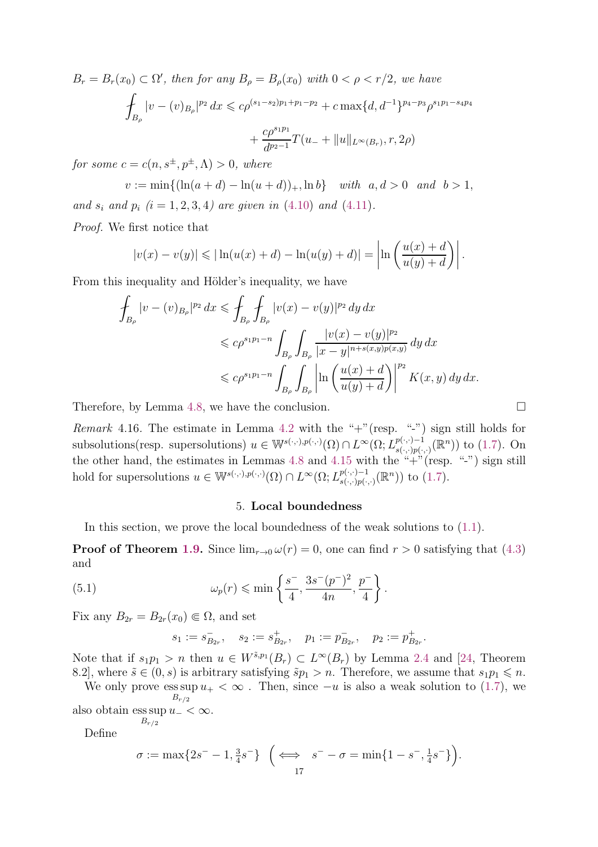$B_r = B_r(x_0) \subset \Omega'$ , then for any  $B_\rho = B_\rho(x_0)$  with  $0 < \rho < r/2$ , we have  $\overline{\phantom{a}}$  $B_\rho$  $|v - (v)_{B_{\rho}}|^{p_2} dx \leqslant c\rho^{(s_1 - s_2)p_1 + p_1 - p_2} + c \max\{d, d^{-1}\}^{p_4 - p_3} \rho^{s_1 p_1 - s_4 p_4}$  $+$  $c\rho^{s_1p_1}$  $\frac{d^{p}}{d^{p_2-1}}T(u_-+\|u\|_{L^{\infty}(B_r)},r,2\rho)$ 

for some  $c = c(n, s^{\pm}, p^{\pm}, \Lambda) > 0$ , where

 $v := \min\{(\ln(a+d) - \ln(u+d))_+, \ln b\}$  with  $a, d > 0$  and  $b > 1$ , and  $s_i$  and  $p_i$   $(i = 1, 2, 3, 4)$  are given in [\(4.10\)](#page-13-1) and [\(4.11\)](#page-13-2).

Proof. We first notice that

$$
|v(x) - v(y)| \le |\ln(u(x) + d) - \ln(u(y) + d)| = \left| \ln \left( \frac{u(x) + d}{u(y) + d} \right) \right|.
$$

From this inequality and Hölder's inequality, we have

$$
\int_{B_{\rho}} |v - (v)_{B_{\rho}}|^{p_2} dx \leq \int_{B_{\rho}} \int_{B_{\rho}} |v(x) - v(y)|^{p_2} dy dx
$$
\n
$$
\leq c\rho^{s_1 p_1 - n} \int_{B_{\rho}} \int_{B_{\rho}} \frac{|v(x) - v(y)|^{p_2}}{|x - y|^{n + s(x, y)p(x, y)}} dy dx
$$
\n
$$
\leq c\rho^{s_1 p_1 - n} \int_{B_{\rho}} \int_{B_{\rho}} \left| \ln \left( \frac{u(x) + d}{u(y) + d} \right) \right|^{p_2} K(x, y) dy dx.
$$

Therefore, by Lemma [4.8,](#page-13-3) we have the conclusion.  $\Box$ 

Remark 4.16. The estimate in Lemma [4.2](#page-9-3) with the "+"(resp. "-") sign still holds for subsolutions(resp. supersolutions)  $u \in \mathbb{W}^{s(\cdot,\cdot),p(\cdot,\cdot)}(\Omega) \cap L^{\infty}(\Omega; L^{p(\cdot,\cdot)-1}_{s(\cdot,\cdot),p(\cdot,\cdot)}).$  $_{s(\cdot,\cdot)p(\cdot,\cdot)}^{p(\cdot,\cdot)-1}$  (R<sup>n</sup>)) to [\(1.7\)](#page-2-4). On the other hand, the estimates in Lemmas [4.8](#page-13-3) and [4.15](#page-15-1) with the "+"(resp. "-") sign still hold for supersolutions  $u \in \mathbb{W}^{s(\cdot,\cdot),p(\cdot,\cdot)}(\Omega) \cap L^{\infty}(\Omega; L^{p(\cdot,\cdot)-1}_{s(\cdot,\cdot)p(\cdot,\cdot)}).$  $_{s(.,.)p(.,.)}^{p(.,.)-1}$  (R<sup>n</sup>)) to [\(1.7\)](#page-2-4).

#### 5. Local boundedness

<span id="page-16-0"></span>In this section, we prove the local boundedness of the weak solutions to [\(1.1\)](#page-0-0).

**Proof of Theorem [1.9.](#page-3-1)** Since  $\lim_{r\to 0} \omega(r) = 0$ , one can find  $r > 0$  satisfying that [\(4.3\)](#page-9-2) and

(5.1) 
$$
\omega_p(r) \leqslant \min\left\{\frac{s^-}{4}, \frac{3s^-(p^-)^2}{4n}, \frac{p^-}{4}\right\}.
$$

Fix any  $B_{2r} = B_{2r}(x_0) \in \Omega$ , and set

<span id="page-16-1"></span>
$$
s_1 := s_{B_{2r}}^-, \quad s_2 := s_{B_{2r}}^+, \quad p_1 := p_{B_{2r}}^-, \quad p_2 := p_{B_{2r}}^+
$$

.

Note that if  $s_1p_1 > n$  then  $u \in W^{\tilde{s},p_1}(B_r) \subset L^{\infty}(B_r)$  by Lemma [2.4](#page-5-0) and [\[24,](#page-26-0) Theorem 8.2, where  $\tilde{s} \in (0, s)$  is arbitrary satisfying  $\tilde{s}p_1 > n$ . Therefore, we assume that  $s_1p_1 \leq n$ .

We only prove  $\operatorname{ess} \sup u_+ < \infty$ . Then, since  $-u$  is also a weak solution to [\(1.7\)](#page-2-4), we  $B_{r/2}$ 

also obtain ess sup  $u_- < \infty$ .  $B_{r/2}$ 

Define

$$
\sigma := \max\{2s^- - 1, \frac{3}{4}s^-\} \quad \left(\iff \quad s^- - \sigma = \min\{1 - s^-, \frac{1}{4}s^-\}\right).
$$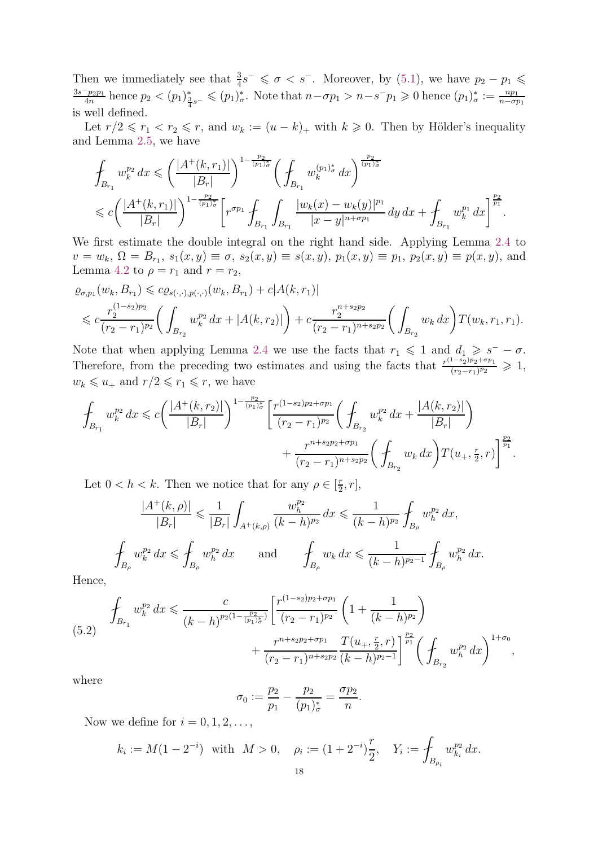Then we immediately see that  $\frac{3}{4}s^{-} \leq \sigma < s^{-}$ . Moreover, by [\(5.1\)](#page-16-1), we have  $p_2 - p_1 \leq$  $3s-p_2p_1$  $\frac{f_{p_2p_1}}{4n}$  hence  $p_2 < (p_1)^*_{\frac{3}{4}s^-} \leqslant (p_1)^*_{\sigma}$ . Note that  $n - \sigma p_1 > n - s^- p_1 \geqslant 0$  hence  $(p_1)^*_{\sigma} := \frac{np_1}{n - \sigma p_1}$  $n-\sigma p_1$ is well defined.

Let  $r/2 \leq r_1 < r_2 \leq r$ , and  $w_k := (u - k)_+$  with  $k \geq 0$ . Then by Hölder's inequality and Lemma [2.5,](#page-5-1) we have

$$
\begin{split} &\oint_{B_{r_1}} w_k^{p_2} \, dx \leqslant \left(\frac{|A^+(k, r_1)|}{|B_r|}\right)^{1-\frac{p_2}{(p_1) \frac{r}{\sigma}}} \left(\oint_{B_{r_1}} w_k^{(p_1)_{\sigma}^*} \, dx\right)^{\frac{p_2}{(p_1)_{\sigma}^*}}\\ &\leqslant c \left(\frac{|A^+(k, r_1)|}{|B_r|}\right)^{1-\frac{p_2}{(p_1)_{\sigma}^*}} \left[r^{\sigma p_1} \oint_{B_{r_1}} \int_{B_{r_1}} \frac{|w_k(x)-w_k(y)|^{p_1}}{|x-y|^{n+\sigma p_1}} \, dy \, dx + \oint_{B_{r_1}} w_k^{p_1} \, dx\right]^{\frac{p_2}{p_1}} \end{split}
$$

.

We first estimate the double integral on the right hand side. Applying Lemma [2.4](#page-5-0) to  $v = w_k$ ,  $\Omega = B_{r_1}$ ,  $s_1(x, y) \equiv \sigma$ ,  $s_2(x, y) \equiv s(x, y)$ ,  $p_1(x, y) \equiv p_1$ ,  $p_2(x, y) \equiv p(x, y)$ , and Lemma [4.2](#page-9-3) to  $\rho = r_1$  and  $r = r_2$ ,

$$
\varrho_{\sigma,p_1}(w_k, B_{r_1}) \leqslant c \varrho_{s(\cdot, \cdot), p(\cdot, \cdot)}(w_k, B_{r_1}) + c |A(k, r_1)|
$$
\n
$$
\leqslant c \frac{r_2^{(1-s_2)p_2}}{(r_2 - r_1)^{p_2}} \bigg(\int_{B_{r_2}} w_k^{p_2} dx + |A(k, r_2)|\bigg) + c \frac{r_2^{n+s_2p_2}}{(r_2 - r_1)^{n+s_2p_2}} \bigg(\int_{B_{r_2}} w_k dx\bigg) T(w_k, r_1, r_1).
$$

Note that when applying Lemma [2.4](#page-5-0) we use the facts that  $r_1 \leq 1$  and  $d_1 \geq s^- - \sigma$ . Therefore, from the preceding two estimates and using the facts that  $\frac{r^{(1-s_2)p_2+\sigma p_1}}{(r_2-r_1)p_2}$  $\frac{(r_2-r_1)^{p_2+\sigma p_1}}{(r_2-r_1)^{p_2}} \geqslant 1,$  $w_k \leqslant u_+$  and  $r/2 \leqslant r_1 \leqslant r,$  we have

$$
\int_{B_{r_1}} w_k^{p_2} dx \leqslant c \bigg( \frac{|A^+(k, r_2)|}{|B_r|} \bigg)^{1 - \frac{p_2}{(p_1) \sigma}} \bigg[ \frac{r^{(1-s_2)p_2 + \sigma p_1}}{(r_2 - r_1)^{p_2}} \bigg( \oint_{B_{r_2}} w_k^{p_2} dx + \frac{|A(k, r_2)|}{|B_r|} \bigg) + \frac{r^{n + s_2 p_2 + \sigma p_1}}{(r_2 - r_1)^{n + s_2 p_2}} \bigg( \oint_{B_{r_2}} w_k dx \bigg) T(u_+, \frac{r}{2}, r) \bigg]^{\frac{p_2}{p_1}}.
$$

Let  $0 < h < k$ . Then we notice that for any  $\rho \in \left[\frac{r}{2}\right]$  $\frac{r}{2}, r$ ,

$$
\frac{|A^+(k,\rho)|}{|B_r|} \leqslant \frac{1}{|B_r|} \int_{A^+(k,\rho)} \frac{w_h^{p_2}}{(k-h)^{p_2}} dx \leqslant \frac{1}{(k-h)^{p_2}} \int_{B_\rho} w_h^{p_2} dx,
$$
\n
$$
\oint_{B_\rho} w_k^{p_2} dx \leqslant \oint_{B_\rho} w_h^{p_2} dx \quad \text{and} \quad \oint_{B_\rho} w_k dx \leqslant \frac{1}{(k-h)^{p_2-1}} \oint_{B_\rho} w_h^{p_2} dx.
$$

Hence,

<span id="page-17-0"></span>
$$
\int_{B_{r_1}} w_k^{p_2} dx \leqslant \frac{c}{(k-h)^{p_2(1-\frac{p_2}{(p_1)\xi})}} \left[ \frac{r^{(1-s_2)p_2+\sigma p_1}}{(r_2-r_1)^{p_2}} \left(1+\frac{1}{(k-h)^{p_2}}\right) + \frac{r^{n+s_2p_2+\sigma p_1}}{(r_2-r_1)^{n+s_2p_2}} \frac{T(u_+,\frac{r}{2},r)}{(k-h)^{p_2-1}} \right]^{\frac{p_2}{p_1}} \left( \int_{B_{r_2}} w_h^{p_2} dx \right)^{1+\sigma_0},
$$

where

$$
\sigma_0 := \frac{p_2}{p_1} - \frac{p_2}{(p_1)_\sigma^*} = \frac{\sigma p_2}{n}
$$

.

Now we define for  $i = 0, 1, 2, \ldots$ ,

$$
k_i := M(1 - 2^{-i})
$$
 with  $M > 0$ ,  $\rho_i := (1 + 2^{-i})\frac{r}{2}$ ,  $Y_i := \int_{B_{\rho_i}} w_{k_i}^{p_2} dx$ .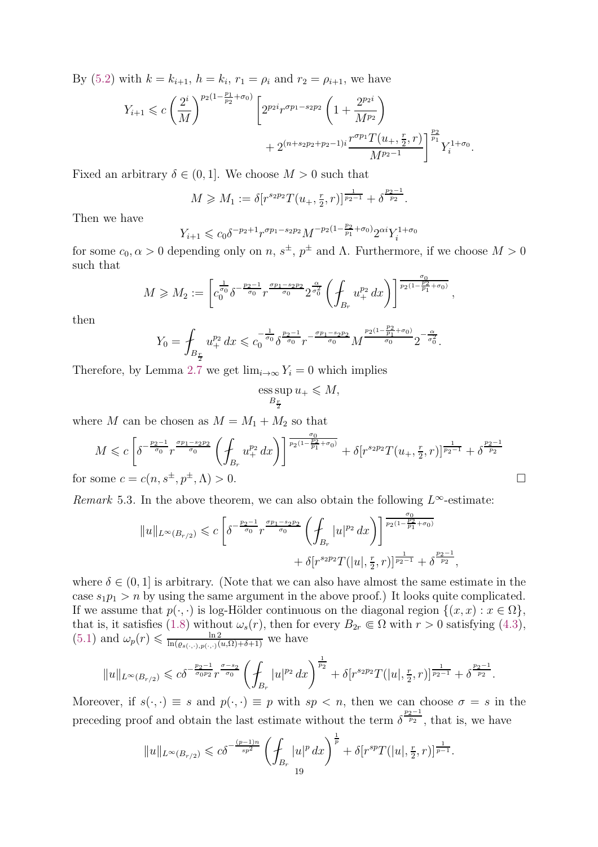By [\(5.2\)](#page-17-0) with  $k = k_{i+1}$ ,  $h = k_i$ ,  $r_1 = \rho_i$  and  $r_2 = \rho_{i+1}$ , we have

$$
Y_{i+1} \leqslant c \left(\frac{2^i}{M}\right)^{p_2(1-\frac{p_1}{p_2}+\sigma_0)} \left[2^{p_2 i} r^{\sigma p_1 - s_2 p_2} \left(1 + \frac{2^{p_2 i}}{M^{p_2}}\right) + 2^{(n+s_2 p_2 + p_2 - 1)i} \frac{r^{\sigma p_1} T(u_+, \frac{r}{2}, r)}{M^{p_2 - 1}}\right]^{\frac{p_2}{p_1}} Y_i^{1 + \sigma_0}.
$$

Fixed an arbitrary  $\delta \in (0, 1]$ . We choose  $M > 0$  such that

$$
M \geq M_1 := \delta[r^{s_2 p_2} T(u_+, \frac{r}{2}, r)]^{\frac{1}{p_2 - 1}} + \delta^{\frac{p_2 - 1}{p_2}}.
$$

Then we have

$$
Y_{i+1} \leq c_0 \delta^{-p_2+1} r^{\sigma p_1 - s_2 p_2} M^{-p_2(1-\frac{p_2}{p_1} + \sigma_0)} 2^{\alpha i} Y_i^{1+\sigma_0}
$$

for some  $c_0, \alpha > 0$  depending only on  $n, s^{\pm}, p^{\pm}$  and  $\Lambda$ . Furthermore, if we choose  $M > 0$ such that

$$
M \geqslant M_2 := \left[c_0^{\frac{1}{\sigma_0}} \delta^{-\frac{p_2-1}{\sigma_0}} r^{\frac{\sigma_{p_1-s_2p_2}}{\sigma_0}} 2^{\frac{\alpha}{\sigma_0^2}} \left(f_{B_r} u_+^{p_2} dx\right)\right]^{\frac{\sigma_0}{p_2(1-\frac{p_2}{p_1}+\sigma_0)}},
$$

then

$$
Y_0 = \int_{B_{\frac{r}{2}}} u_+^{p_2} dx \leqslant c_0^{-\frac{1}{\sigma_0}} \delta^{\frac{p_2-1}{\sigma_0}} r^{-\frac{\sigma p_1 - s_2 p_2}{\sigma_0}} M^{\frac{p_2(1 - \frac{p_2}{p_1} + \sigma_0)}{\sigma_0}} 2^{-\frac{\alpha}{\sigma_0^2}}.
$$

Therefore, by Lemma [2.7](#page-6-1) we get  $\lim_{i\to\infty} Y_i = 0$  which implies

$$
\operatorname*{ess\,sup}_{B_{\frac{r}{2}}} u_+ \leqslant M,
$$

where M can be chosen as  $M = M_1 + M_2$  so that

$$
M \leqslant c \left[ \delta^{-\frac{p_2-1}{\sigma_0}} r^{\frac{\sigma p_1 - s_2 p_2}{\sigma_0}} \left( \oint_{B_r} u_+^{p_2} dx \right) \right]^{\frac{\sigma_0}{p_2(1 - \frac{p_2}{p_1} + \sigma_0)}} + \delta [r^{s_2 p_2} T(u_+, \frac{r}{2}, r)]^{\frac{1}{p_2 - 1}} + \delta^{\frac{p_2 - 1}{p_2}} \tag{1}
$$
 for some  $c = c(n, s^{\pm}, p^{\pm}, \Lambda) > 0$ .

Remark 5.3. In the above theorem, we can also obtain the following  $L^{\infty}$ -estimate:

$$
||u||_{L^{\infty}(B_{r/2})} \leqslant c \left[\delta^{-\frac{p_2-1}{\sigma_0}} r^{\frac{\sigma p_1 - s_2 p_2}{\sigma_0}} \left( \int_{B_r} |u|^{p_2} dx \right) \right]^{\frac{\sigma_0}{p_2(1 - \frac{p_2}{p_1} + \sigma_0)}} + \delta[r^{s_2 p_2} T(|u|, \frac{r}{2}, r)]^{\frac{1}{p_2 - 1}} + \delta^{\frac{p_2 - 1}{p_2}},
$$

where  $\delta \in (0, 1]$  is arbitrary. (Note that we can also have almost the same estimate in the case  $s_1p_1 > n$  by using the same argument in the above proof.) It looks quite complicated. If we assume that  $p(\cdot, \cdot)$  is log-Hölder continuous on the diagonal region  $\{(x, x) : x \in \Omega\}$ , that is, it satisfies [\(1.8\)](#page-3-3) without  $\omega_s(r)$ , then for every  $B_{2r} \in \Omega$  with  $r > 0$  satisfying [\(4.3\)](#page-9-2),  $(5.1)$  and  $\omega_p(r) \leqslant \frac{\ln 2}{\ln (a_0(r) - r)}$  $\frac{\ln 2}{\ln(\varrho_{s(\cdot,\cdot),p(\cdot,\cdot)}(u,\Omega)+\delta+1)}$  we have

$$
||u||_{L^{\infty}(B_{r/2})} \leqslant c\delta^{-\frac{p_{2}-1}{\sigma_{0}p_{2}}}r^{\frac{\sigma-s_{2}}{\sigma_{0}}}\left(\int_{B_{r}}|u|^{p_{2}}dx\right)^{\frac{1}{p_{2}}}+\delta[r^{s_{2}p_{2}}T(|u|,\frac{r}{2},r)]^{\frac{1}{p_{2}-1}}+\delta^{\frac{p_{2}-1}{p_{2}}}.
$$

Moreover, if  $s(\cdot, \cdot) \equiv s$  and  $p(\cdot, \cdot) \equiv p$  with  $sp < n$ , then we can choose  $\sigma = s$  in the preceding proof and obtain the last estimate without the term  $\delta^{\frac{p_2-1}{p_2}}$ , that is, we have

$$
||u||_{L^{\infty}(B_{r/2})} \leqslant c\delta^{-\frac{(p-1)n}{sp^2}} \left(\int_{B_r} |u|^p \, dx\right)^{\frac{1}{p}} + \delta[r^{sp}T(|u|, \frac{r}{2}, r)]^{\frac{1}{p-1}}.
$$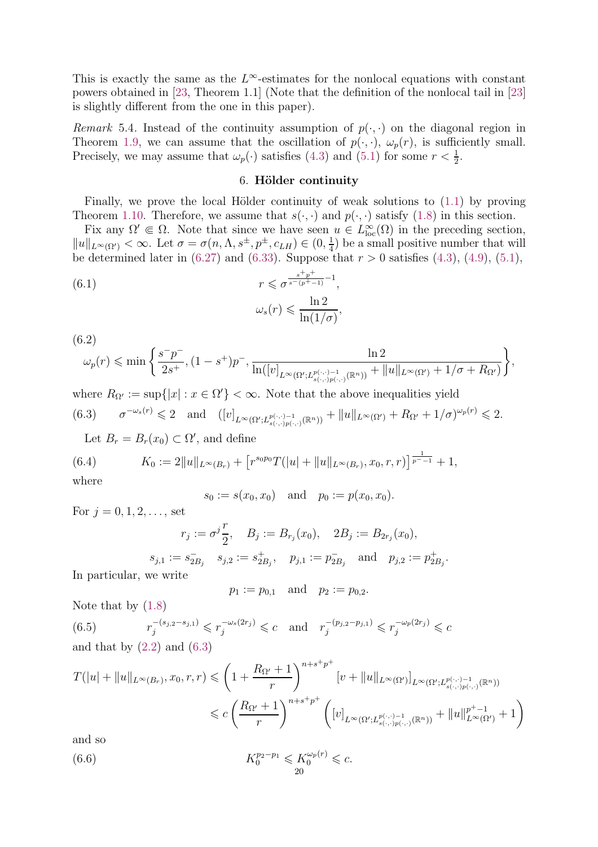This is exactly the same as the  $L^{\infty}$ -estimates for the nonlocal equations with constant powers obtained in [\[23,](#page-26-9) Theorem 1.1] (Note that the definition of the nonlocal tail in [\[23\]](#page-26-9) is slightly different from the one in this paper).

<span id="page-19-0"></span>Remark 5.4. Instead of the continuity assumption of  $p(\cdot, \cdot)$  on the diagonal region in Theorem [1.9,](#page-3-1) we can assume that the oscillation of  $p(\cdot, \cdot)$ ,  $\omega_p(r)$ , is sufficiently small. Precisely, we may assume that  $\omega_p(\cdot)$  satisfies [\(4.3\)](#page-9-2) and [\(5.1\)](#page-16-1) for some  $r < \frac{1}{2}$ .

## <span id="page-19-7"></span>6. Hölder continuity

<span id="page-19-1"></span>Finally, we prove the local Hölder continuity of weak solutions to  $(1.1)$  by proving Theorem [1.10.](#page-3-2) Therefore, we assume that  $s(\cdot, \cdot)$  and  $p(\cdot, \cdot)$  satisfy [\(1.8\)](#page-3-3) in this section.

Fix any  $\Omega' \in \Omega$ . Note that since we have seen  $u \in L^{\infty}_{loc}(\Omega)$  in the preceding section,  $||u||_{L^{\infty}(\Omega')} < \infty$ . Let  $\sigma = \sigma(n, \Lambda, s^{\pm}, p^{\pm}, c_{LH}) \in (0, \frac{1}{4})$  $\frac{1}{4}$ ) be a small positive number that will be determined later in  $(6.27)$  and  $(6.33)$ . Suppose that  $r > 0$  satisfies  $(4.3)$ ,  $(4.9)$ ,  $(5.1)$ ,

(6.1) 
$$
r \leq \sigma^{\frac{s+p^{+}}{s-(p^{+}-1)}-1},
$$

$$
\omega_{s}(r) \leq \frac{\ln 2}{\ln(1/\sigma)},
$$

<span id="page-19-6"></span>
$$
(6.2) \qquad \ln 2
$$
  

$$
\omega_p(r) \leqslant \min \left\{ \frac{s^- p^-}{2s^+}, (1-s^+)p^-, \frac{\ln 2}{\ln([v]_{L^{\infty}(\Omega';L^{p(\cdot,\cdot)-1}_{s(\cdot,\cdot)p(\cdot,\cdot)}(\mathbb{R}^n))} + \|u\|_{L^{\infty}(\Omega')} + 1/\sigma + R_{\Omega'})} \right\},
$$

where  $R_{\Omega'} := \sup\{|x| : x \in \Omega'\} < \infty$ . Note that the above inequalities yield  $(6.3)$  $\mathcal{L}^{-\omega_s(r)} \leq 2$  and  $([v]_{L^{\infty}(\Omega';L^{p(\cdot,\cdot)-1}_{s(\cdot,\cdot)p(\cdot,\cdot)}(\mathbb{R}^n))} + ||u||_{L^{\infty}(\Omega')} + R_{\Omega'} + 1/\sigma)^{\omega_p(r)} \leq 2.$ 

<span id="page-19-5"></span><span id="page-19-2"></span>Let  $B_r = B_r(x_0) \subset \Omega'$ , and define

(6.4) 
$$
K_0 := 2||u||_{L^{\infty}(B_r)} + [r^{s_0p_0}T(|u| + ||u||_{L^{\infty}(B_r)}, x_0, r, r)]^{\frac{1}{p^--1}} + 1,
$$
  
where

where

$$
s_0 := s(x_0, x_0)
$$
 and  $p_0 := p(x_0, x_0)$ .

For  $j = 0, 1, 2, \ldots$ , set

$$
r_j := \sigma^j \frac{r}{2}, \quad B_j := B_{r_j}(x_0), \quad 2B_j := B_{2r_j}(x_0),
$$
  

$$
s_{j,1} := s_{2B_j} - s_{j,2} := s_{2B_j}^+, \quad p_{j,1} := p_{2B_j}^- \quad \text{and} \quad p_{j,2} := p_{2B_j}^+.
$$

In particular, we write

<span id="page-19-4"></span>
$$
p_1 := p_{0,1}
$$
 and  $p_2 := p_{0,2}$ .

Note that by [\(1.8\)](#page-3-3)

<span id="page-19-3"></span> $(6.5)$  $\tau_j^{-(s_{j,2}-s_{j,1})} \leqslant \tau_j^{-\omega_s(2r_j)} \leqslant c \quad \text{and} \quad \tau_j^{-(p_{j,2}-p_{j,1})} \leqslant \tau_j^{-\omega_p(2r_j)} \leqslant c$ and that by  $(2.2)$  and  $(6.3)$ 

$$
T(|u| + ||u||_{L^{\infty}(B_r)}, x_0, r, r) \leqslant \left(1 + \frac{R_{\Omega'} + 1}{r}\right)^{n + s + p^+} \left[v + ||u||_{L^{\infty}(\Omega')} \right]_{L^{\infty}(\Omega'; L^{p(\cdot, \cdot)-1}_{s(\cdot, \cdot)p(\cdot, \cdot)}(\mathbb{R}^n))}
$$
  
\$\leqslant c \left(\frac{R\_{\Omega'} + 1}{r}\right)^{n + s + p^+} \left([v]\_{L^{\infty}(\Omega'; L^{p(\cdot, \cdot)-1}\_{s(\cdot, \cdot)p(\cdot, \cdot)}(\mathbb{R}^n))} + ||u||\_{L^{\infty}(\Omega')}^{p^+ + 1} + 1\right)\$

and so

(6.6) 
$$
K_0^{p_2-p_1} \leqslant K_0^{\omega_p(r)} \leqslant c.
$$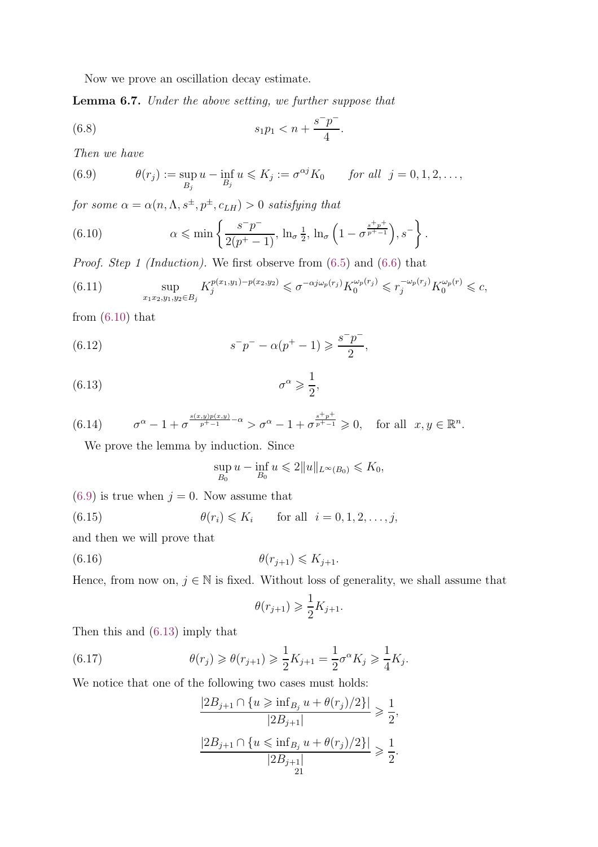<span id="page-20-9"></span>Now we prove an oscillation decay estimate.

<span id="page-20-0"></span>Lemma 6.7. Under the above setting, we further suppose that

(6.8) 
$$
s_1 p_1 < n + \frac{s^- p^-}{4}.
$$

Then we have

<span id="page-20-2"></span>(6.9) 
$$
\theta(r_j) := \sup_{B_j} u - \inf_{B_j} u \le K_j := \sigma^{\alpha j} K_0 \quad \text{for all } j = 0, 1, 2, ...,
$$

for some  $\alpha = \alpha(n, \Lambda, s^{\pm}, p^{\pm}, c_{LH}) > 0$  satisfying that

<span id="page-20-1"></span>(6.10) 
$$
\alpha \leqslant \min \left\{ \frac{s^- p^-}{2(p^+ - 1)}, \ln_{\sigma} \frac{1}{2}, \ln_{\sigma} \left( 1 - \sigma^{\frac{s^+ p^+}{p^+-1}} \right), s^- \right\}.
$$

Proof. Step 1 (Induction). We first observe from [\(6.5\)](#page-19-3) and [\(6.6\)](#page-19-4) that

<span id="page-20-7"></span>(6.11) 
$$
\sup_{x_1x_2,y_1,y_2\in B_j} K_j^{p(x_1,y_1)-p(x_2,y_2)} \leq \sigma^{-\alpha j\omega_p(r_j)} K_0^{\omega_p(r_j)} \leq r_j^{-\omega_p(r_j)} K_0^{\omega_p(r)} \leq c,
$$

from  $(6.10)$  that

(6.12) 
$$
s^{-}p^{-} - \alpha(p^{+} - 1) \geq \frac{s^{-}p^{-}}{2},
$$

$$
(6.13) \t\t \sigma^{\alpha} \geqslant \frac{1}{2},
$$

(6.14) 
$$
\sigma^{\alpha} - 1 + \sigma^{\frac{s(x,y)p(x,y)}{p^+-1} - \alpha} > \sigma^{\alpha} - 1 + \sigma^{\frac{s^+p^+}{p^+-1}} \ge 0, \text{ for all } x, y \in \mathbb{R}^n.
$$

<span id="page-20-10"></span>We prove the lemma by induction. Since

<span id="page-20-5"></span><span id="page-20-4"></span><span id="page-20-3"></span>
$$
\sup_{B_0} u - \inf_{B_0} u \leqslant 2||u||_{L^{\infty}(B_0)} \leqslant K_0,
$$

 $(6.9)$  is true when  $j = 0$ . Now assume that

(6.15) 
$$
\theta(r_i) \leqslant K_i \quad \text{for all } i = 0, 1, 2, \dots, j,
$$

and then we will prove that

$$
\theta(r_{j+1}) \leqslant K_{j+1}.
$$

Hence, from now on,  $j \in \mathbb{N}$  is fixed. Without loss of generality, we shall assume that

<span id="page-20-8"></span>
$$
\theta(r_{j+1}) \geqslant \frac{1}{2}K_{j+1}.
$$

Then this and [\(6.13\)](#page-20-3) imply that

(6.17) 
$$
\theta(r_j) \geq \theta(r_{j+1}) \geq \frac{1}{2} K_{j+1} = \frac{1}{2} \sigma^{\alpha} K_j \geq \frac{1}{4} K_j.
$$

We notice that one of the following two cases must holds:

<span id="page-20-6"></span>
$$
\frac{|2B_{j+1} \cap \{u \ge \inf_{B_j} u + \theta(r_j)/2\}|}{|2B_{j+1}|} \ge \frac{1}{2},
$$
  

$$
\frac{|2B_{j+1} \cap \{u \le \inf_{B_j} u + \theta(r_j)/2\}|}{|2B_{j+1}|} \ge \frac{1}{2}.
$$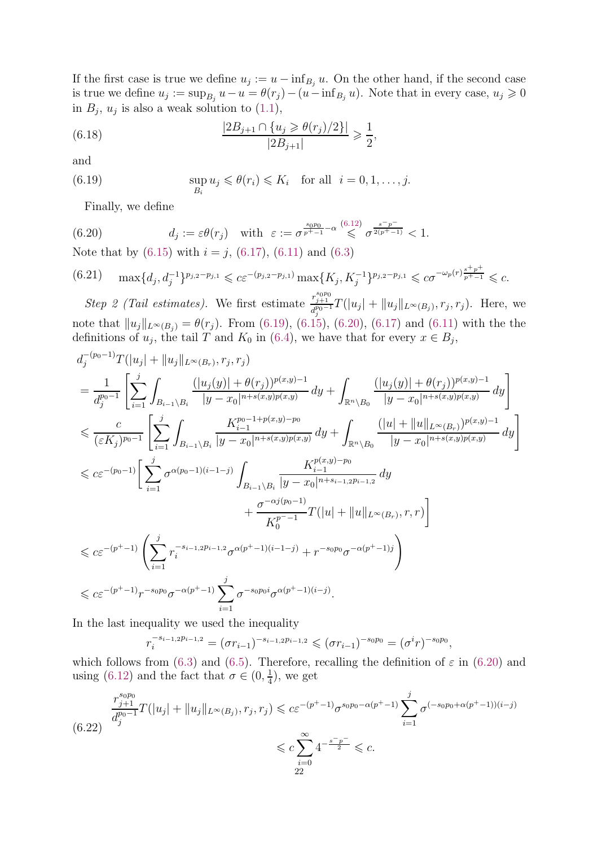If the first case is true we define  $u_j := u - \inf_{B_j} u$ . On the other hand, if the second case is true we define  $u_j := \sup_{B_j} u - u = \theta(r_j) - (u - \inf_{B_j} u)$ . Note that in every case,  $u_j \geq 0$ in  $B_j$ ,  $u_j$  is also a weak solution to  $(1.1)$ ,

<span id="page-21-4"></span>(6.18) 
$$
\frac{|2B_{j+1} \cap \{u_j \geq \theta(r_j)/2\}|}{|2B_{j+1}|} \geq \frac{1}{2},
$$

and

(6.19) 
$$
\sup_{B_i} u_j \leq \theta(r_i) \leq K_i \quad \text{for all} \quad i = 0, 1, \dots, j.
$$

<span id="page-21-1"></span><span id="page-21-0"></span>Finally, we define

(6.20) 
$$
d_j := \varepsilon \theta(r_j) \quad \text{with} \quad \varepsilon := \sigma^{\frac{s_0 p_0}{p^+ - 1} - \alpha} \leqslant \sigma^{\frac{s - p^-}{2(p^+ - 1)}} < 1.
$$

Note that by  $(6.15)$  with  $i = j$ ,  $(6.17)$ ,  $(6.11)$  and  $(6.3)$ 

<span id="page-21-2"></span>
$$
(6.21) \quad \max\{d_j, d_j^{-1}\}^{p_{j,2}-p_{j,1}} \leqslant c\varepsilon^{-(p_{j,2}-p_{j,1})}\max\{K_j, K_j^{-1}\}^{p_{j,2}-p_{j,1}} \leqslant c\sigma^{-\omega_p(r)\frac{s+p+1}{p^+-1}} \leqslant c.
$$

Step 2 (Tail estimates). We first estimate  $\frac{r_{j+1}^{s_0p_0}}{r_{j-1}^{s_0-1}}$  $\frac{d_{j+1}^{j+1}}{d_{j}^{p_0-1}}T(|u_j|+||u_j||_{L^{\infty}(B_j)}, r_j, r_j)$ . Here, we note that  $||u_j||_{L^{\infty}(B_j)} = \theta(r_j)$ . From [\(6.19\)](#page-21-0), [\(6.15\)](#page-20-5), [\(6.20\)](#page-21-1), [\(6.17\)](#page-20-6) and [\(6.11\)](#page-20-7) with the the definitions of  $u_j$ , the tail T and  $K_0$  in [\(6.4\)](#page-19-5), we have that for every  $x \in B_j$ ,

$$
\begin{split} &d_j^{-(p_0-1)}T(|u_j|+\|u_j\|_{L^{\infty}(B_r)},r_j,r_j)\\ &=\frac{1}{d_j^{p_0-1}}\left[\sum_{i=1}^j\int_{B_{i-1}\setminus B_i}\frac{(|u_j(y)|+\theta(r_j))^{p(x,y)-1}}{|y-x_0|^{n+s(x,y)p(x,y)}}\,dy+\int_{\mathbb{R}^n\setminus B_0}\frac{(|u_j(y)|+\theta(r_j))^{p(x,y)-1}}{|y-x_0|^{n+s(x,y)p(x,y)}}\,dy\right]\\ &\leqslant \frac{c}{(\varepsilon K_j)^{p_0-1}}\left[\sum_{i=1}^j\int_{B_{i-1}\setminus B_i}\frac{K_{i-1}^{p_0-1+p(x,y)-p_0}}{|y-x_0|^{n+s(x,y)p(x,y)}}\,dy+\int_{\mathbb{R}^n\setminus B_0}\frac{(|u|+\|u\|_{L^{\infty}(B_r)})^{p(x,y)-1}}{|y-x_0|^{n+s(x,y)p(x,y)}}\,dy\right]\\ &\leqslant c\varepsilon^{-(p_0-1)}\left[\sum_{i=1}^j\sigma^{\alpha(p_0-1)(i-1-j)}\int_{B_{i-1}\setminus B_i}\frac{K_{i-1}^{p(x,y)-p_0}}{|y-x_0|^{n+s_{i-1,2}p_{i-1,2}}}\,dy\right.\\ &\left.+\frac{\sigma^{-\alpha j(p_0-1)}}{K_0^{p_0-1}}T(|u|+\|u\|_{L^{\infty}(B_r)},r,r)\right]\\ &\leqslant c\varepsilon^{-(p^+-1)}\left(\sum_{i=1}^j r_i^{-s_{i-1,2}p_{i-1,2}}\sigma^{\alpha(p^+-1)(i-1-j)}+r^{-s_0p_0}\sigma^{-\alpha(p^+-1)j}\right)\\ &\leqslant c\varepsilon^{-(p^+-1)}r^{-s_0p_0}\sigma^{-\alpha(p^+-1)}\sum_{i=1}^j\sigma^{-s_0p_0i}\sigma^{\alpha(p^+-1)(i-j)}. \end{split}
$$

In the last inequality we used the inequality

$$
r_i^{-s_{i-1,2}p_{i-1,2}} = (\sigma r_{i-1})^{-s_{i-1,2}p_{i-1,2}} \leq (\sigma r_{i-1})^{-s_0p_0} = (\sigma^i r)^{-s_0p_0},
$$

which follows from [\(6.3\)](#page-19-2) and [\(6.5\)](#page-19-3). Therefore, recalling the definition of  $\varepsilon$  in [\(6.20\)](#page-21-1) and using [\(6.12\)](#page-20-4) and the fact that  $\sigma \in (0, \frac{1}{4})$  $\frac{1}{4}$ , we get

<span id="page-21-3"></span>
$$
\frac{r_{j+1}^{s_0 p_0}}{d_j^{p_0-1}} T(|u_j| + \|u_j\|_{L^\infty(B_j)}, r_j, r_j) \leq c \varepsilon^{-(p^+-1)} \sigma^{s_0 p_0 - \alpha(p^+-1)} \sum_{i=1}^j \sigma^{(-s_0 p_0 + \alpha(p^+-1))(i-j)} \leq c \sum_{i=0}^\infty 4^{-\frac{s^- p^-}{2}} \leq c.
$$
\n
$$
\leq c \sum_{i=0}^\infty 4^{-\frac{s^- p^-}{2}} \leq c.
$$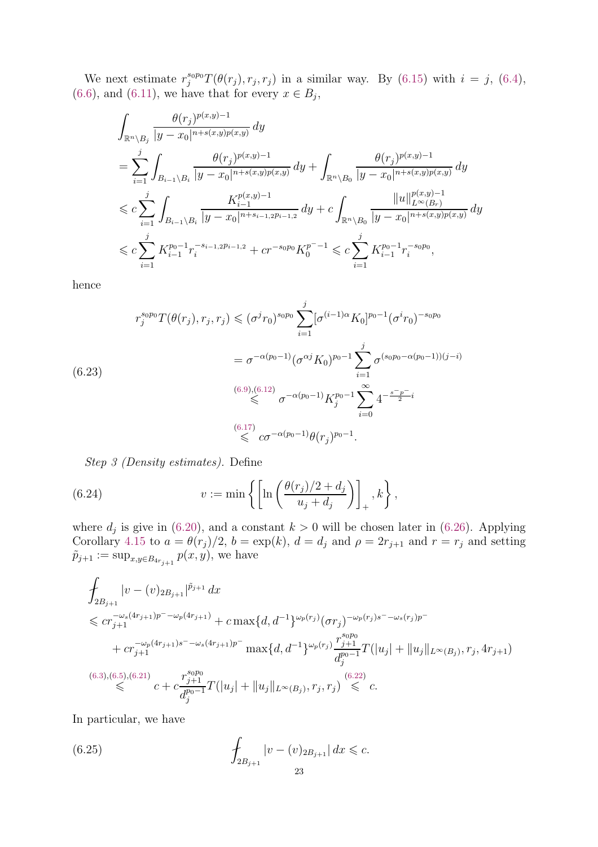We next estimate  $r_j^{s_0p_0}T(\theta(r_j), r_j, r_j)$  in a similar way. By [\(6.15\)](#page-20-5) with  $i = j$ , [\(6.4\)](#page-19-5),  $(6.6)$ , and  $(6.11)$ , we have that for every  $x \in B_j$ ,

$$
\begin{split} & \int_{\mathbb{R}^n \backslash B_j} \frac{\theta(r_j)^{p(x,y)-1}}{|y-x_0|^{n+s(x,y)p(x,y)}} \, dy \\ & = \sum_{i=1}^j \int_{B_{i-1} \backslash B_i} \frac{\theta(r_j)^{p(x,y)-1}}{|y-x_0|^{n+s(x,y)p(x,y)}} \, dy + \int_{\mathbb{R}^n \backslash B_0} \frac{\theta(r_j)^{p(x,y)-1}}{|y-x_0|^{n+s(x,y)p(x,y)}} \, dy \\ & \leqslant c \sum_{i=1}^j \int_{B_{i-1} \backslash B_i} \frac{K_{i-1}^{p(x,y)-1}}{|y-x_0|^{n+s_{i-1,2}p_{i-1,2}}} \, dy + c \int_{\mathbb{R}^n \backslash B_0} \frac{||u||_{L^{\infty}(B_r)}^{p(x,y)-1}}{|y-x_0|^{n+s(x,y)p(x,y)}} \, dy \\ & \leqslant c \sum_{i=1}^j K_{i-1}^{p_0-1} r_i^{-s_{i-1,2}p_{i-1,2}} + c r^{-s_0 p_0} K_0^{p^--1} \leqslant c \sum_{i=1}^j K_{i-1}^{p_0-1} r_i^{-s_0 p_0}, \end{split}
$$

hence

<span id="page-22-2"></span>
$$
r_j^{s_0 p_0} T(\theta(r_j), r_j, r_j) \leq (\sigma^j r_0)^{s_0 p_0} \sum_{i=1}^j [\sigma^{(i-1)\alpha} K_0]^{p_0-1} (\sigma^i r_0)^{-s_0 p_0}
$$
  

$$
= \sigma^{-\alpha(p_0-1)} (\sigma^{\alpha j} K_0)^{p_0-1} \sum_{i=1}^j \sigma^{(s_0 p_0-\alpha(p_0-1))(j-i)}
$$
  

$$
\overset{(6.9),(6.12)}{\leq \sigma^{-\alpha(p_0-1)} K_j^{p_0-1} \sum_{i=0}^\infty 4^{-\frac{s^- p^-}{2}i}
$$
  

$$
\overset{(6.17)}{\leq \sigma^{-\alpha(p_0-1)} \theta(r_j)^{p_0-1}}.
$$

<span id="page-22-0"></span>Step 3 (Density estimates). Define

(6.24) 
$$
v := \min \left\{ \left[ \ln \left( \frac{\theta(r_j)/2 + d_j}{u_j + d_j} \right) \right]_+, k \right\},\,
$$

where  $d_j$  is give in [\(6.20\)](#page-21-1), and a constant  $k > 0$  will be chosen later in [\(6.26\)](#page-23-1). Applying Corollary [4.15](#page-15-1) to  $a = \theta(r_j)/2$ ,  $b = \exp(k)$ ,  $d = d_j$  and  $\rho = 2r_{j+1}$  and  $r = r_j$  and setting  $\tilde{p}_{j+1} := \sup_{x,y \in B_{4r_{j+1}}} p(x,y)$ , we have

$$
\int_{2B_{j+1}} |v - (v)_{2B_{j+1}}|^{\tilde{p}_{j+1}} dx
$$
\n
$$
\leq c r_{j+1}^{-\omega_s(4r_{j+1})p^{-}-\omega_p(4r_{j+1})} + c \max\{d, d^{-1}\}^{\omega_p(r_j)} (\sigma r_j)^{-\omega_p(r_j)s^{-}-\omega_s(r_j)p^{-}}
$$
\n
$$
+ c r_{j+1}^{-\omega_p(4r_{j+1})s^{-}-\omega_s(4r_{j+1})p^{-}} \max\{d, d^{-1}\}^{\omega_p(r_j)} \frac{r_{j+1}^{s_0p_0}}{d_j^{p_0-1}} T(|u_j| + ||u_j||_{L^{\infty}(B_j)}, r_j, 4r_{j+1})
$$
\n
$$
\leq C \varepsilon + c \frac{r_{j+1}^{s_0p_0}}{d_j^{p_0-1}} T(|u_j| + ||u_j||_{L^{\infty}(B_j)}, r_j, r_j) \leq C.
$$
\n(6.22)

In particular, we have

<span id="page-22-1"></span>(6.25) 
$$
\int_{2B_{j+1}} |v - (v)_{2B_{j+1}}| dx \leq c.
$$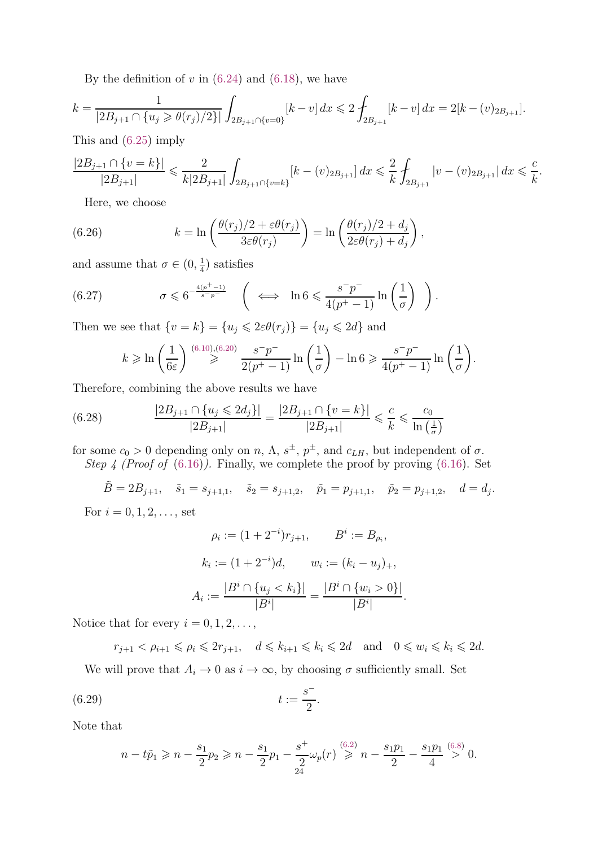By the definition of  $v$  in [\(6.24\)](#page-22-0) and [\(6.18\)](#page-21-4), we have

$$
k = \frac{1}{|2B_{j+1} \cap \{u_j \geq \theta(r_j)/2\}|} \int_{2B_{j+1} \cap \{v=0\}} [k-v] dx \leq 2 \int_{2B_{j+1}} [k-v] dx = 2[k-(v)_{2B_{j+1}}].
$$

This and [\(6.25\)](#page-22-1) imply

$$
\frac{|2B_{j+1} \cap \{v = k\}|}{|2B_{j+1}|} \leqslant \frac{2}{k|2B_{j+1}|} \int_{2B_{j+1} \cap \{v = k\}} [k - (v)_{2B_{j+1}}] \, dx \leqslant \frac{2}{k} \int_{2B_{j+1}} |v - (v)_{2B_{j+1}}| \, dx \leqslant \frac{c}{k}.
$$

<span id="page-23-1"></span>Here, we choose

(6.26) 
$$
k = \ln\left(\frac{\theta(r_j)/2 + \varepsilon\theta(r_j)}{3\varepsilon\theta(r_j)}\right) = \ln\left(\frac{\theta(r_j)/2 + d_j}{2\varepsilon\theta(r_j) + d_j}\right),
$$

and assume that  $\sigma \in (0, \frac{1}{4})$  $(\frac{1}{4})$  satisfies

(6.27) 
$$
\sigma \leqslant 6^{-\frac{4(p^{+}-1)}{s-p^{-}}} \quad \left( \iff \ln 6 \leqslant \frac{s^{-}p^{-}}{4(p^{+}-1)} \ln \left( \frac{1}{\sigma} \right) \right).
$$

Then we see that  $\{v = k\} = \{u_j \leq 2\varepsilon \theta(r_j)\} = \{u_j \leq 2d\}$  and

<span id="page-23-3"></span><span id="page-23-0"></span>
$$
k \geqslant \ln\left(\frac{1}{6\varepsilon}\right) \stackrel{(6.10),(6.20)}{\geqslant} \frac{s^-p^-}{2(p^+-1)} \ln\left(\frac{1}{\sigma}\right) - \ln 6 \geqslant \frac{s^-p^-}{4(p^+-1)} \ln\left(\frac{1}{\sigma}\right).
$$

Therefore, combining the above results we have

(6.28) 
$$
\frac{|2B_{j+1} \cap \{u_j \leq 2d_j\}|}{|2B_{j+1}|} = \frac{|2B_{j+1} \cap \{v = k\}|}{|2B_{j+1}|} \leq \frac{c}{k} \leq \frac{c_0}{\ln\left(\frac{1}{\sigma}\right)}
$$

for some  $c_0 > 0$  depending only on  $n$ ,  $\Lambda$ ,  $s^{\pm}$ ,  $p^{\pm}$ , and  $c_{LH}$ , but independent of  $\sigma$ . Step 4 (Proof of  $(6.16)$ ). Finally, we complete the proof by proving  $(6.16)$ . Set

 $\tilde{B} = 2B_{j+1}, \quad \tilde{s}_1 = s_{j+1,1}, \quad \tilde{s}_2 = s_{j+1,2}, \quad \tilde{p}_1 = p_{j+1,1}, \quad \tilde{p}_2 = p_{j+1,2}, \quad d = d_j.$ For  $i = 0, 1, 2, \ldots$ , set

$$
\rho_i := (1 + 2^{-i})r_{j+1}, \qquad B^i := B_{\rho_i},
$$

$$
k_i := (1 + 2^{-i})d, \qquad w_i := (k_i - u_j)_+,
$$

$$
A_i := \frac{|B^i \cap \{u_j < k_i\}|}{|B^i|} = \frac{|B^i \cap \{w_i > 0\}|}{|B^i|}.
$$

Notice that for every  $i = 0, 1, 2, \ldots$ ,

$$
r_{j+1} < \rho_{i+1} \leqslant \rho_i \leqslant 2r_{j+1}, \quad d \leqslant k_{i+1} \leqslant k_i \leqslant 2d \quad \text{and} \quad 0 \leqslant w_i \leqslant k_i \leqslant 2d.
$$

We will prove that  $A_i \to 0$  as  $i \to \infty$ , by choosing  $\sigma$  sufficiently small. Set

(6.29) 
$$
t := \frac{s^{-}}{2}.
$$

Note that

<span id="page-23-2"></span>
$$
n - t\tilde{p}_1 \geqslant n - \frac{s_1}{2}p_2 \geqslant n - \frac{s_1}{2}p_1 - \frac{s^+}{2}\omega_p(r) \stackrel{(6.2)}{\geqslant} n - \frac{s_1p_1}{2} - \frac{s_1p_1}{4} \stackrel{(6.8)}{>} 0.
$$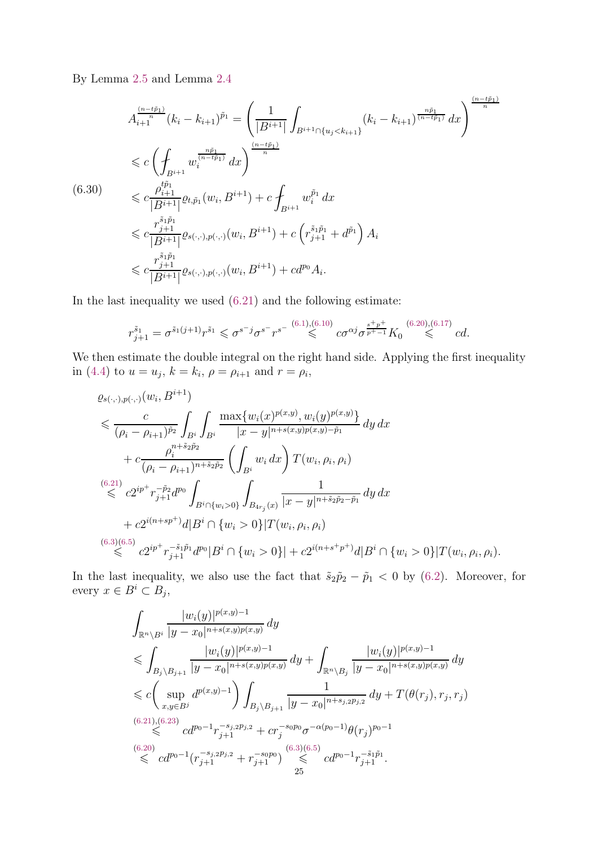By Lemma [2.5](#page-5-1) and Lemma [2.4](#page-5-0)

<span id="page-24-0"></span>
$$
A_{i+1}^{(n-t\tilde{p}_1)}(k_i - k_{i+1})^{\tilde{p}_1} = \left(\frac{1}{|B^{i+1}|} \int_{B^{i+1} \cap \{u_j < k_{i+1}\}} (k_i - k_{i+1})^{\frac{n\tilde{p}_1}{(n-t\tilde{p}_1)}} dx\right)^{\frac{(n-t\tilde{p}_1)}{n}}
$$
  
\n
$$
\leq c \left(\int_{B^{i+1}} w_i^{\frac{n\tilde{p}_1}{(n-t\tilde{p}_1)}} dx\right)^{\frac{(n-t\tilde{p}_1)}{n}}
$$
  
\n
$$
\leq c \frac{\rho_{i+1}^{t\tilde{p}_1}}{|B^{i+1}|} \varrho_{t,\tilde{p}_1}(w_i, B^{i+1}) + c \int_{B^{i+1}} w_i^{\tilde{p}_1} dx
$$
  
\n
$$
\leq c \frac{r_{j+1}^{\tilde{s}_1\tilde{p}_1}}{|B^{i+1}|} \varrho_{s(\cdot,\cdot),p(\cdot,\cdot)}(w_i, B^{i+1}) + c \left(r_{j+1}^{\tilde{s}_1\tilde{p}_1} + d^{\tilde{p}_1}\right) A_i
$$
  
\n
$$
\leq c \frac{r_{j+1}^{\tilde{s}_1\tilde{p}_1}}{|B^{i+1}|} \varrho_{s(\cdot,\cdot),p(\cdot,\cdot)}(w_i, B^{i+1}) + cd^{p_0} A_i.
$$

In the last inequality we used [\(6.21\)](#page-21-2) and the following estimate:

$$
r_{j+1}^{\tilde{s}_1} = \sigma^{\tilde{s}_1(j+1)} r^{\tilde{s}_1} \leqslant \sigma^{s^{-}j} \sigma^{s^{-}} r^{s^{-}} \stackrel{(6.1),(6.10)}{\leqslant} c \sigma^{\alpha j} \sigma^{\frac{s+p+}{p^+-1}} K_0 \stackrel{(6.20),(6.17)}{\leqslant} c d.
$$

We then estimate the double integral on the right hand side. Applying the first inequality in [\(4.4\)](#page-10-2) to  $u = u_j$ ,  $k = k_i$ ,  $\rho = \rho_{i+1}$  and  $r = \rho_i$ ,

$$
\varrho_{s(\cdot,\cdot),p(\cdot,\cdot)}(w_i, B^{i+1})\n\leq \frac{c}{(\rho_i - \rho_{i+1})^{\tilde{p}_2}} \int_{B^i} \int_{B^i} \frac{\max\{w_i(x)^{p(x,y)}, w_i(y)^{p(x,y)}\}}{|x - y|^{n + s(x,y)p(x,y) - \tilde{p}_1}} dy dx\n+ c \frac{\rho_i^{n + \tilde{s}_2 \tilde{p}_2}}{(\rho_i - \rho_{i+1})^{n + \tilde{s}_2 \tilde{p}_2}} \left( \int_{B^i} w_i dx \right) T(w_i, \rho_i, \rho_i)\n\stackrel{(6.21)}{\leq} c 2^{ip^+} r_{j+1}^{-\tilde{p}_2} d^{p_0} \int_{B^i \cap \{w_i > 0\}} \int_{B_{4r_j}(x)} \frac{1}{|x - y|^{n + \tilde{s}_2 \tilde{p}_2 - \tilde{p}_1}} dy dx\n+ c 2^{i(n + sp^+)} d|B^i \cap \{w_i > 0\} |T(w_i, \rho_i, \rho_i)\n\stackrel{(6.3)(6.5)}{\leq} c 2^{ip^+} r_{j+1}^{-\tilde{s}_1 \tilde{p}_1} d^{p_0} |B^i \cap \{w_i > 0\} | + c 2^{i(n + s^+ p^+)} d|B^i \cap \{w_i > 0\} |T(w_i, \rho_i, \rho_i).
$$

In the last inequality, we also use the fact that  $\tilde{s}_2 \tilde{p}_2 - \tilde{p}_1 < 0$  by [\(6.2\)](#page-19-6). Moreover, for every  $x \in B^i \subset B_j$ ,

$$
\int_{\mathbb{R}^n \backslash B^i} \frac{|w_i(y)|^{p(x,y)-1}}{|y-x_0|^{n+s(x,y)p(x,y)}} dy
$$
\n
$$
\leqslant \int_{B_j \backslash B_{j+1}} \frac{|w_i(y)|^{p(x,y)-1}}{|y-x_0|^{n+s(x,y)p(x,y)}} dy + \int_{\mathbb{R}^n \backslash B_j} \frac{|w_i(y)|^{p(x,y)-1}}{|y-x_0|^{n+s(x,y)p(x,y)}} dy
$$
\n
$$
\leqslant c \left( \sup_{x,y \in B^j} d^{p(x,y)-1} \right) \int_{B_j \backslash B_{j+1}} \frac{1}{|y-x_0|^{n+s_{j,2}p_{j,2}}} dy + T(\theta(r_j), r_j, r_j)
$$
\n
$$
\stackrel{(6.21),(6.23)}{\leqslant} cd^{p_0-1} r_{j+1}^{-s_{j,2}p_{j,2}} + cr_j^{-s_0p_0} \sigma^{-\alpha(p_0-1)} \theta(r_j)^{p_0-1}
$$
\n
$$
\stackrel{(6.20)}{\leqslant} cd^{p_0-1} (r_{j+1}^{-s_{j,2}p_{j,2}} + r_{j+1}^{-s_0p_0}) \stackrel{(6.3)(6.5)}{\leqslant} cd^{p_0-1} r_{j+1}^{-s_1\tilde{p}_1}.
$$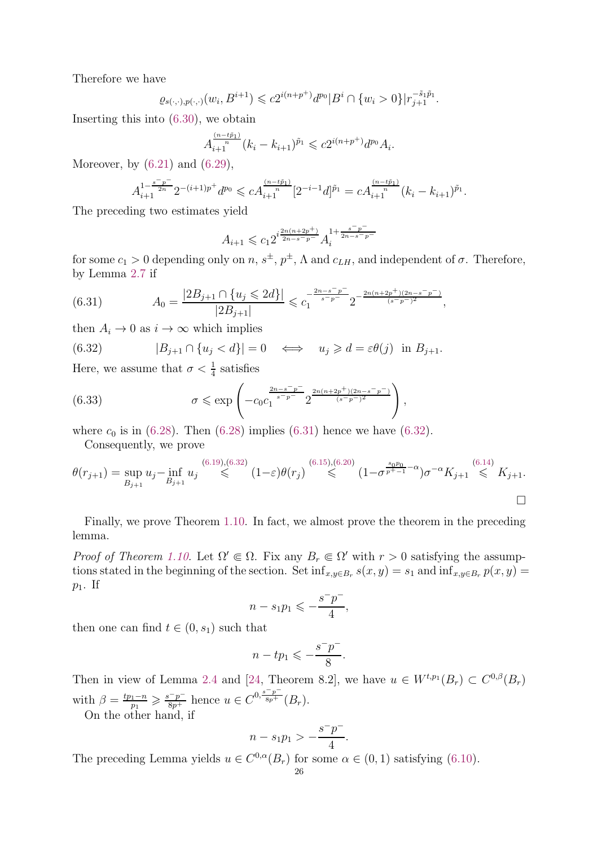Therefore we have

$$
\varrho_{s(\cdot,\cdot),p(\cdot,\cdot)}(w_i,B^{i+1}) \leqslant c2^{i(n+p^+)}d^{p_0}|B^i \cap \{w_i > 0\}|r_{j+1}^{-\tilde{s}_1\tilde{p}_1}.
$$

Inserting this into [\(6.30\)](#page-24-0), we obtain

$$
A_{i+1}^{\frac{(n-t\tilde{p}_1)}{n}}(k_i - k_{i+1})^{\tilde{p}_1} \leqslant c2^{i(n+p^+)}d^{p_0}A_i.
$$

Moreover, by  $(6.21)$  and  $(6.29)$ ,

$$
A_{i+1}^{1-\frac{s^-p^-}{2n}}2^{-(i+1)p^+}d^{p_0} \leqslant cA_{i+1}^{\frac{(n-t\tilde{p}_1)}{n}}[2^{-i-1}d]^{\tilde{p}_1}=cA_{i+1}^{\frac{(n-t\tilde{p}_1)}{n}}(k_i-k_{i+1})^{\tilde{p}_1}.
$$

The preceding two estimates yield

$$
A_{i+1} \leqslant c_1 2^{i\frac{2n(n+2p^+)}{2n-s-p^-}} A_i^{1+\frac{s^-p^-}{2n-s^-p^-}}
$$

for some  $c_1 > 0$  depending only on  $n, s^{\pm}, p^{\pm}, \Lambda$  and  $c_{LH}$ , and independent of  $\sigma$ . Therefore, by Lemma [2.7](#page-6-1) if

<span id="page-25-1"></span>(6.31) 
$$
A_0 = \frac{|2B_{j+1} \cap \{u_j \leq 2d\}|}{|2B_{j+1}|} \leq c_1^{-\frac{2n-s-p^-}{s-p^-}} 2^{-\frac{2n(n+2p^+)(2n-s^-p^-)}{(s-p^-)^2}},
$$

then  $A_i \to 0$  as  $i \to \infty$  which implies

<span id="page-25-2"></span>(6.32) 
$$
|B_{j+1} \cap \{u_j < d\}| = 0 \iff u_j \geq d = \varepsilon \theta(j) \text{ in } B_{j+1}.
$$

Here, we assume that  $\sigma < \frac{1}{4}$  satisfies

(6.33) 
$$
\sigma \le \exp \left( -c_0 c_1^{\frac{2n-s-p}{s-p}} 2^{\frac{2n(n+2p^+)(2n-s-p^-)}{(s-p^-)^2}} \right),
$$

where  $c_0$  is in [\(6.28\)](#page-23-3). Then (6.28) implies [\(6.31\)](#page-25-1) hence we have [\(6.32\)](#page-25-2).

<span id="page-25-0"></span>Consequently, we prove

$$
\theta(r_{j+1}) = \sup_{B_{j+1}} u_j - \inf_{B_{j+1}} u_j \stackrel{(6.19),(6.32)}{\leq} (1-\varepsilon)\theta(r_j) \stackrel{(6.15),(6.20)}{\leq} (1-\sigma^{\frac{s_0p_0}{p^+-1}-\alpha})\sigma^{-\alpha}K_{j+1} \stackrel{(6.14)}{\leq} K_{j+1}.
$$

Finally, we prove Theorem [1.10.](#page-3-2) In fact, we almost prove the theorem in the preceding lemma.

*Proof of Theorem [1.10.](#page-3-2)* Let  $\Omega' \subseteq \Omega$ . Fix any  $B_r \subseteq \Omega'$  with  $r > 0$  satisfying the assumptions stated in the beginning of the section. Set  $\inf_{x,y\in B_r} s(x,y) = s_1$  and  $\inf_{x,y\in B_r} p(x,y) = s_2$  $p_1$ . If

$$
n - s_1 p_1 \leqslant -\frac{s^- p^-}{4},
$$

then one can find  $t \in (0, s_1)$  such that

$$
n - tp_1 \leqslant -\frac{s^- p^-}{8}.
$$

Then in view of Lemma [2.4](#page-5-0) and [\[24,](#page-26-0) Theorem 8.2], we have  $u \in W^{t,p_1}(B_r) \subset C^{0,\beta}(B_r)$ with  $\beta = \frac{tp_1 - n}{n}$  $\frac{p_1 - n}{p_1} \geq \frac{s^- p^-}{8p^+}$  hence  $u \in C^{0, \frac{s^- p^-}{8p^+}}$  $\overline{{}^{{8p}^{+}}}\left( B_{r}\right)$ .

On the other hand, if

$$
n - s_1 p_1 > -\frac{s^- p^-}{4}.
$$

The preceding Lemma yields  $u \in C^{0,\alpha}(B_r)$  for some  $\alpha \in (0,1)$  satisfying [\(6.10\)](#page-20-1).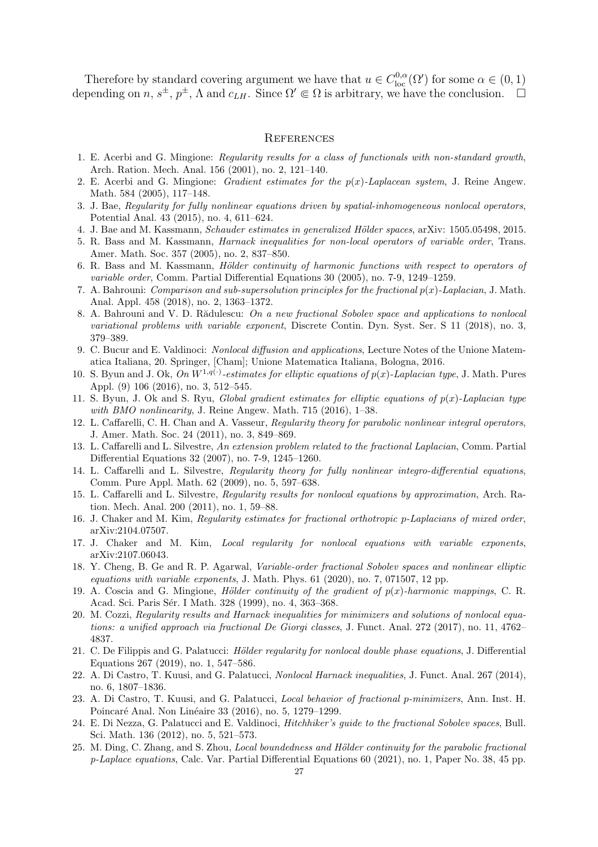Therefore by standard covering argument we have that  $u \in C^{0,\alpha}_{loc}(\Omega')$  for some  $\alpha \in (0,1)$ depending on  $n, s^{\pm}, p^{\pm}, \Lambda$  and  $c_{LH}$ . Since  $\Omega' \in \Omega$  is arbitrary, we have the conclusion.  $\Box$ 

#### **REFERENCES**

- <span id="page-26-19"></span>1. E. Acerbi and G. Mingione: Regularity results for a class of functionals with non-standard growth, Arch. Ration. Mech. Anal. 156 (2001), no. 2, 121–140.
- <span id="page-26-20"></span>2. E. Acerbi and G. Mingione: Gradient estimates for the  $p(x)$ -Laplacean system, J. Reine Angew. Math. 584 (2005), 117–148.
- <span id="page-26-13"></span>3. J. Bae, Regularity for fully nonlinear equations driven by spatial-inhomogeneous nonlocal operators, Potential Anal. 43 (2015), no. 4, 611–624.
- <span id="page-26-14"></span><span id="page-26-3"></span>4. J. Bae and M. Kassmann, Schauder estimates in generalized Hölder spaces, arXiv: 1505.05498, 2015.
- 5. R. Bass and M. Kassmann, Harnack inequalities for non-local operators of variable order, Trans. Amer. Math. Soc. 357 (2005), no. 2, 837–850.
- <span id="page-26-4"></span>6. R. Bass and M. Kassmann, *Hölder continuity of harmonic functions with respect to operators of* variable order, Comm. Partial Differential Equations 30 (2005), no. 7-9, 1249–1259.
- <span id="page-26-16"></span>7. A. Bahrouni: Comparison and sub-supersolution principles for the fractional  $p(x)$ -Laplacian, J. Math. Anal. Appl. 458 (2018), no. 2, 1363–1372.
- <span id="page-26-17"></span>8. A. Bahrouni and V. D. Rădulescu: On a new fractional Sobolev space and applications to nonlocal variational problems with variable exponent, Discrete Contin. Dyn. Syst. Ser. S 11 (2018), no. 3, 379–389.
- <span id="page-26-1"></span>9. C. Bucur and E. Valdinoci: Nonlocal diffusion and applications, Lecture Notes of the Unione Matematica Italiana, 20. Springer, [Cham]; Unione Matematica Italiana, Bologna, 2016.
- <span id="page-26-21"></span>10. S. Byun and J. Ok, On  $W^{1,q(\cdot)}$ -estimates for elliptic equations of  $p(x)$ -Laplacian type, J. Math. Pures Appl. (9) 106 (2016), no. 3, 512–545.
- <span id="page-26-22"></span>11. S. Byun, J. Ok and S. Ryu, Global gradient estimates for elliptic equations of  $p(x)$ -Laplacian type with BMO nonlinearity, J. Reine Angew. Math. 715 (2016), 1-38.
- <span id="page-26-5"></span>12. L. Caffarelli, C. H. Chan and A. Vasseur, Regularity theory for parabolic nonlinear integral operators, J. Amer. Math. Soc. 24 (2011), no. 3, 849–869.
- <span id="page-26-2"></span>13. L. Caffarelli and L. Silvestre, An extension problem related to the fractional Laplacian, Comm. Partial Differential Equations 32 (2007), no. 7-9, 1245–1260.
- <span id="page-26-6"></span>14. L. Caffarelli and L. Silvestre, Regularity theory for fully nonlinear integro-differential equations, Comm. Pure Appl. Math. 62 (2009), no. 5, 597–638.
- <span id="page-26-7"></span>15. L. Caffarelli and L. Silvestre, Regularity results for nonlocal equations by approximation, Arch. Ration. Mech. Anal. 200 (2011), no. 1, 59–88.
- <span id="page-26-24"></span><span id="page-26-10"></span>16. J. Chaker and M. Kim, Regularity estimates for fractional orthotropic p-Laplacians of mixed order, arXiv:2104.07507.
- <span id="page-26-18"></span>17. J. Chaker and M. Kim, Local regularity for nonlocal equations with variable exponents, arXiv:2107.06043.
- 18. Y. Cheng, B. Ge and R. P. Agarwal, Variable-order fractional Sobolev spaces and nonlinear elliptic equations with variable exponents, J. Math. Phys.  $61$  (2020), no. 7, 071507, 12 pp.
- <span id="page-26-23"></span>19. A. Coscia and G. Mingione, Hölder continuity of the gradient of  $p(x)$ -harmonic mappings, C. R. Acad. Sci. Paris Sér. I Math. 328 (1999), no. 4, 363–368.
- <span id="page-26-11"></span>20. M. Cozzi, Regularity results and Harnack inequalities for minimizers and solutions of nonlocal equations: a unified approach via fractional De Giorgi classes, J. Funct. Anal. 272 (2017), no. 11, 4762– 4837.
- <span id="page-26-15"></span>21. C. De Filippis and G. Palatucci: Hölder regularity for nonlocal double phase equations, J. Differential Equations 267 (2019), no. 1, 547–586.
- <span id="page-26-8"></span>22. A. Di Castro, T. Kuusi, and G. Palatucci, Nonlocal Harnack inequalities, J. Funct. Anal. 267 (2014), no. 6, 1807–1836.
- <span id="page-26-9"></span>23. A. Di Castro, T. Kuusi, and G. Palatucci, Local behavior of fractional p-minimizers, Ann. Inst. H. Poincaré Anal. Non Linéaire 33 (2016), no. 5, 1279–1299.
- <span id="page-26-0"></span>24. E. Di Nezza, G. Palatucci and E. Valdinoci, Hitchhiker's guide to the fractional Sobolev spaces, Bull. Sci. Math. 136 (2012), no. 5, 521–573.
- <span id="page-26-12"></span>25. M. Ding, C. Zhang, and S. Zhou, *Local boundedness and Hölder continuity for the parabolic fractional* p-Laplace equations, Calc. Var. Partial Differential Equations 60 (2021), no. 1, Paper No. 38, 45 pp.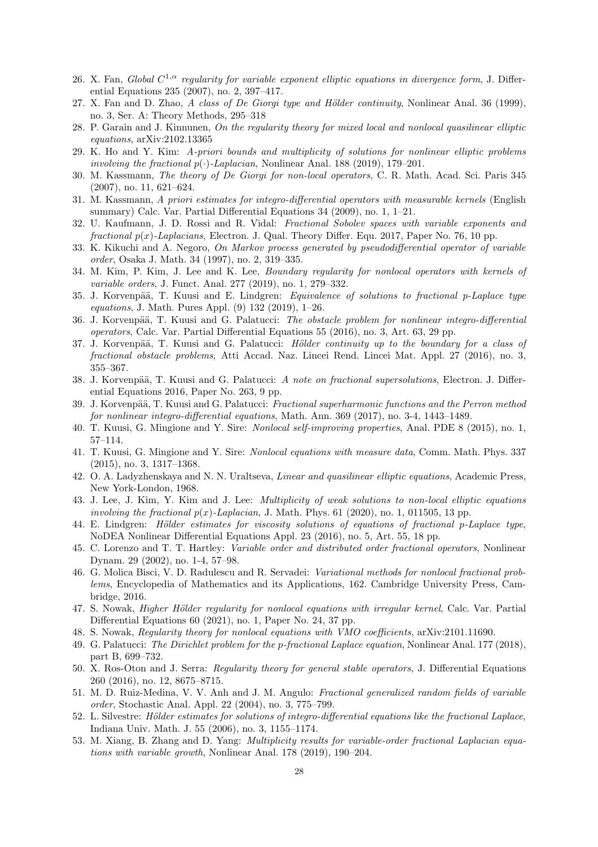- <span id="page-27-25"></span>26. X. Fan, Global  $C^{1,\alpha}$  regularity for variable exponent elliptic equations in divergence form, J. Differential Equations 235 (2007), no. 2, 397–417.
- <span id="page-27-26"></span><span id="page-27-7"></span>27. X. Fan and D. Zhao, A class of De Giorgi type and Hölder continuity, Nonlinear Anal. 36 (1999), no. 3, Ser. A: Theory Methods, 295–318
- <span id="page-27-18"></span>28. P. Garain and J. Kinnunen, On the regularity theory for mixed local and nonlocal quasilinear elliptic equations, arXiv:2102.13365
- 29. K. Ho and Y. Kim: A-priori bounds and multiplicity of solutions for nonlinear elliptic problems involving the fractional  $p(\cdot)$ -Laplacian, Nonlinear Anal. 188 (2019), 179–201.
- <span id="page-27-2"></span>30. M. Kassmann, The theory of De Giorgi for non-local operators, C. R. Math. Acad. Sci. Paris 345 (2007), no. 11, 621–624.
- <span id="page-27-3"></span>31. M. Kassmann, A priori estimates for integro-differential operators with measurable kernels (English summary) Calc. Var. Partial Differential Equations 34 (2009), no. 1, 1–21.
- <span id="page-27-19"></span>32. U. Kaufmann, J. D. Rossi and R. Vidal: Fractional Sobolev spaces with variable exponents and fractional  $p(x)$ -Laplacians, Electron. J. Qual. Theory Differ. Equ. 2017, Paper No. 76, 10 pp.
- <span id="page-27-22"></span>33. K. Kikuchi and A. Negoro, On Markov process generated by pseudodifferential operator of variable order, Osaka J. Math. 34 (1997), no. 2, 319–335.
- <span id="page-27-17"></span>34. M. Kim, P. Kim, J. Lee and K. Lee, Boundary regularity for nonlocal operators with kernels of variable orders, J. Funct. Anal. 277 (2019), no. 1, 279–332.
- <span id="page-27-8"></span>35. J. Korvenpää, T. Kuusi and E. Lindgren: Equivalence of solutions to fractional p-Laplace type equations, J. Math. Pures Appl. (9) 132 (2019), 1–26.
- <span id="page-27-9"></span>36. J. Korvenpää, T. Kuusi and G. Palatucci: The obstacle problem for nonlinear integro-differential operators, Calc. Var. Partial Differential Equations 55 (2016), no. 3, Art. 63, 29 pp.
- <span id="page-27-10"></span>37. J. Korvenpää, T. Kuusi and G. Palatucci: *Hölder continuity up to the boundary for a class of* fractional obstacle problems, Atti Accad. Naz. Lincei Rend. Lincei Mat. Appl. 27 (2016), no. 3, 355–367.
- <span id="page-27-11"></span>38. J. Korvenpää, T. Kuusi and G. Palatucci: A note on fractional supersolutions, Electron. J. Differential Equations 2016, Paper No. 263, 9 pp.
- <span id="page-27-12"></span>39. J. Korvenpää, T. Kuusi and G. Palatucci: Fractional superharmonic functions and the Perron method for nonlinear integro-differential equations, Math. Ann. 369 (2017), no. 3-4, 1443–1489.
- <span id="page-27-13"></span><span id="page-27-4"></span>40. T. Kuusi, G. Mingione and Y. Sire: Nonlocal self-improving properties, Anal. PDE 8 (2015), no. 1, 57–114.
- 41. T. Kuusi, G. Mingione and Y. Sire: Nonlocal equations with measure data, Comm. Math. Phys. 337 (2015), no. 3, 1317–1368.
- <span id="page-27-27"></span>42. O. A. Ladyzhenskaya and N. N. Uraltseva, Linear and quasilinear elliptic equations, Academic Press, New York-London, 1968.
- <span id="page-27-20"></span>43. J. Lee, J. Kim, Y. Kim and J. Lee: Multiplicity of weak solutions to non-local elliptic equations involving the fractional  $p(x)$ -Laplacian, J. Math. Phys. 61 (2020), no. 1, 011505, 13 pp.
- <span id="page-27-14"></span>44. E. Lindgren: Hölder estimates for viscosity solutions of equations of fractional p-Laplace type, NoDEA Nonlinear Differential Equations Appl. 23 (2016), no. 5, Art. 55, 18 pp.
- <span id="page-27-21"></span>45. C. Lorenzo and T. T. Hartley: Variable order and distributed order fractional operators, Nonlinear Dynam. 29 (2002), no. 1-4, 57–98.
- <span id="page-27-1"></span>46. G. Molica Bisci, V. D. Radulescu and R. Servadei: Variational methods for nonlocal fractional problems, Encyclopedia of Mathematics and its Applications, 162. Cambridge University Press, Cambridge, 2016.
- <span id="page-27-15"></span>47. S. Nowak, *Higher Hölder regularity for nonlocal equations with irregular kernel*, Calc. Var. Partial Differential Equations 60 (2021), no. 1, Paper No. 24, 37 pp.
- <span id="page-27-16"></span><span id="page-27-0"></span>48. S. Nowak, Regularity theory for nonlocal equations with VMO coefficients, arXiv:2101.11690.
- 49. G. Palatucci: The Dirichlet problem for the p-fractional Laplace equation, Nonlinear Anal. 177 (2018), part B, 699–732.
- <span id="page-27-5"></span>50. X. Ros-Oton and J. Serra: Regularity theory for general stable operators, J. Differential Equations 260 (2016), no. 12, 8675–8715.
- <span id="page-27-23"></span>51. M. D. Ruiz-Medina, V. V. Anh and J. M. Angulo: Fractional generalized random fields of variable order, Stochastic Anal. Appl. 22 (2004), no. 3, 775–799.
- <span id="page-27-6"></span>52. L. Silvestre: Hölder estimates for solutions of integro-differential equations like the fractional Laplace, Indiana Univ. Math. J. 55 (2006), no. 3, 1155–1174.
- <span id="page-27-24"></span>53. M. Xiang, B. Zhang and D. Yang: Multiplicity results for variable-order fractional Laplacian equations with variable growth, Nonlinear Anal. 178 (2019), 190–204.